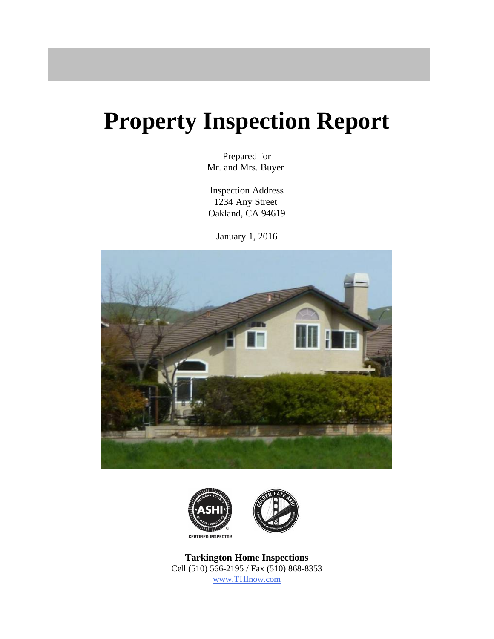# **Property Inspection Report**

Prepared for Mr. and Mrs. Buyer

Inspection Address 1234 Any Street Oakland, CA 94619

January 1, 2016





**Tarkington Home Inspections** Cell (510) 566-2195 / Fax (510) 868-8353 [ww](http://www.THInow.com)[w.THInow.com](www.THInow.com)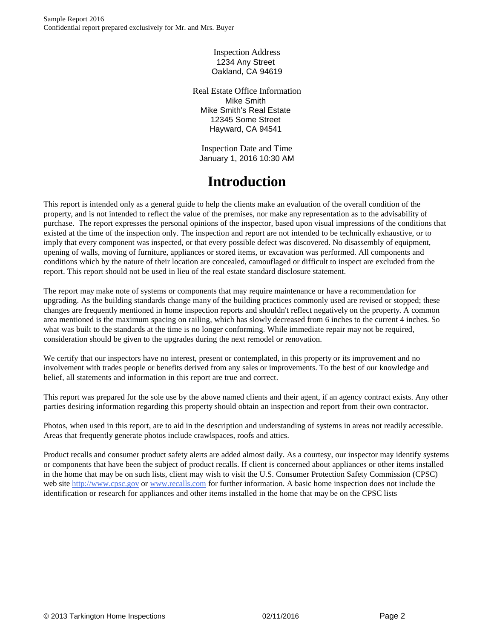Inspection Address 1234 Any Street Oakland, CA 94619

Real Estate Office Information Mike Smith Mike Smith's Real Estate 12345 Some Street Hayward, CA 94541

Inspection Date and Time January 1, 2016 10:30 AM

## **Introduction**

This report is intended only as a general guide to help the clients make an evaluation of the overall condition of the property, and is not intended to reflect the value of the premises, nor make any representation as to the advisability of purchase. The report expresses the personal opinions of the inspector, based upon visual impressions of the conditions that existed at the time of the inspection only. The inspection and report are not intended to be technically exhaustive, or to imply that every component was inspected, or that every possible defect was discovered. No disassembly of equipment, opening of walls, moving of furniture, appliances or stored items, or excavation was performed. All components and conditions which by the nature of their location are concealed, camouflaged or difficult to inspect are excluded from the report. This report should not be used in lieu of the real estate standard disclosure statement.

The report may make note of systems or components that may require maintenance or have a recommendation for upgrading. As the building standards change many of the building practices commonly used are revised or stopped; these changes are frequently mentioned in home inspection reports and shouldn't reflect negatively on the property. A common area mentioned is the maximum spacing on railing, which has slowly decreased from 6 inches to the current 4 inches. So what was built to the standards at the time is no longer conforming. While immediate repair may not be required, consideration should be given to the upgrades during the next remodel or renovation.

We certify that our inspectors have no interest, present or contemplated, in this property or its improvement and no involvement with trades people or benefits derived from any sales or improvements. To the best of our knowledge and belief, all statements and information in this report are true and correct.

This report was prepared for the sole use by the above named clients and their agent, if an agency contract exists. Any other parties desiring information regarding this property should obtain an inspection and report from their own contractor.

Photos, when used in this report, are to aid in the description and understanding of systems in areas not readily accessible. Areas that frequently generate photos include crawlspaces, roofs and attics.

Product recalls and consumer product safety alerts are added almost daily. As a courtesy, our inspector may identify systems or components that have been the subject of product recalls. If client is concerned about appliances or other items installed in the home that may be on such lists, client may wish to visit the U.S. Consumer Protection Safety Commission (CPSC) web site [http://w](http://www.cpsc.gov)[ww.cpsc.go](www.cpsc.gov)[v](http://www.cpsc.gov) or [w](http://www.recalls.com)[ww.recalls.com](www.recalls.com) for further information. A basic home inspection does not include the identification or research for appliances and other items installed in the home that may be on the CPSC lists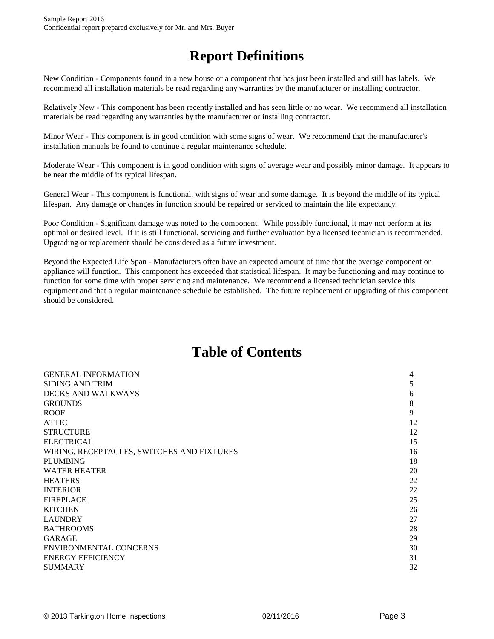## **Report Definitions**

New Condition - Components found in a new house or a component that has just been installed and still has labels. We recommend all installation materials be read regarding any warranties by the manufacturer or installing contractor.

Relatively New - This component has been recently installed and has seen little or no wear. We recommend all installation materials be read regarding any warranties by the manufacturer or installing contractor.

Minor Wear - This component is in good condition with some signs of wear. We recommend that the manufacturer's installation manuals be found to continue a regular maintenance schedule.

Moderate Wear - This component is in good condition with signs of average wear and possibly minor damage. It appears to be near the middle of its typical lifespan.

General Wear - This component is functional, with signs of wear and some damage. It is beyond the middle of its typical lifespan. Any damage or changes in function should be repaired or serviced to maintain the life expectancy.

Poor Condition - Significant damage was noted to the component. While possibly functional, it may not perform at its optimal or desired level. If it is still functional, servicing and further evaluation by a licensed technician is recommended. Upgrading or replacement should be considered as a future investment.

Beyond the Expected Life Span - Manufacturers often have an expected amount of time that the average component or appliance will function. This component has exceeded that statistical lifespan. It may be functioning and may continue to function for some time with proper servicing and maintenance. We recommend a licensed technician service this equipment and that a regular maintenance schedule be established. The future replacement or upgrading of this component should be considered.

## **Table of Contents**

| <b>GENERAL INFORMATION</b>                 | 4  |
|--------------------------------------------|----|
| SIDING AND TRIM                            | 5  |
| DECKS AND WALKWAYS                         | 6  |
| GROUNDS                                    | 8  |
| ROOF                                       | 9  |
| ATTIC                                      | 12 |
| STRUCTURE                                  | 12 |
| ELECTRICAL                                 | 15 |
| WIRING, RECEPTACLES, SWITCHES AND FIXTURES | 16 |
| PLUMBING                                   | 18 |
| WATER HEATER                               | 20 |
| <b>HEATERS</b>                             | 22 |
| <b>INTERIOR</b>                            | 22 |
| <b>FIREPLACE</b>                           | 25 |
| KITCHEN                                    | 26 |
| LAUNDRY                                    | 27 |
| BATHROOMS                                  | 28 |
| GARAGE                                     | 29 |
| ENVIRONMENTAL CONCERNS                     | 30 |
| ENERGY EFFICIENCY                          | 31 |
| SUMMARY                                    | 32 |
|                                            |    |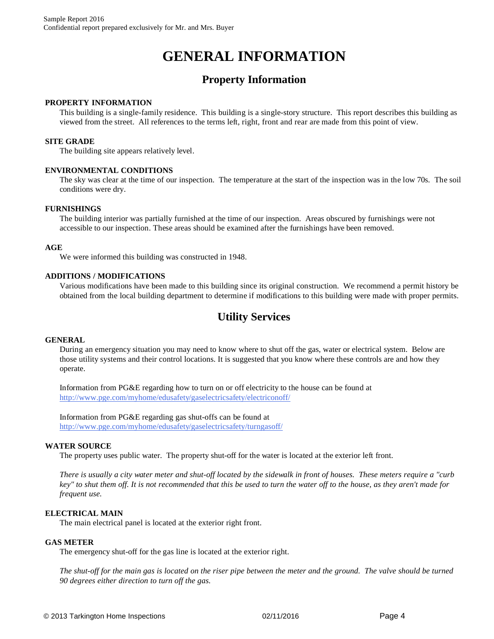## **GENERAL INFORMATION**

## **Property Information**

#### **PROPERTY INFORMATION**

This building is a single-family residence. This building is a single-story structure. This report describes this building as viewed from the street. All references to the terms left, right, front and rear are made from this point of view.

#### **SITE GRADE**

The building site appears relatively level.

#### **ENVIRONMENTAL CONDITIONS**

The sky was clear at the time of our inspection. The temperature at the start of the inspection was in the low 70s. The soil conditions were dry.

#### **FURNISHINGS**

The building interior was partially furnished at the time of our inspection. Areas obscured by furnishings were not accessible to our inspection. These areas should be examined after the furnishings have been removed.

#### **AGE**

We were informed this building was constructed in 1948.

#### **ADDITIONS / MODIFICATIONS**

Various modifications have been made to this building since its original construction. We recommend a permit history be obtained from the local building department to determine if modifications to this building were made with proper permits.

## **Utility Services**

#### **GENERAL**

During an emergency situation you may need to know where to shut off the gas, water or electrical system. Below are those utility systems and their control locations. It is suggested that you know where these controls are and how they operate.

Information from PG&E regarding how to turn on or off electricity to the house can be found at <http://www.pge.com/myhome/edusafety/gaselectricsafety/electriconoff/>

Information from PG&E regarding gas shut-offs can be found at [http://w](http://www.pge.com/myhome/edusafety/gaselectricsafety/turngasoff/)[ww.pge.com/myhome/edusafety/gaselectricsafety/turngasoff/](www.pge.com/myhome/edusafety/gaselectricsafety/turngasoff/)

#### **WATER SOURCE**

The property uses public water. The property shut-off for the water is located at the exterior left front.

*There is usually a city water meter and shut-off located by the sidewalk in front of houses. These meters require a "curb key" to shut them off. It is not recommended that this be used to turn the water off to the house, as they aren't made for frequent use.* 

#### **ELECTRICAL MAIN**

The main electrical panel is located at the exterior right front.

#### **GAS METER**

The emergency shut-off for the gas line is located at the exterior right.

*The shut-off for the main gas is located on the riser pipe between the meter and the ground. The valve should be turned 90 degrees either direction to turn off the gas.*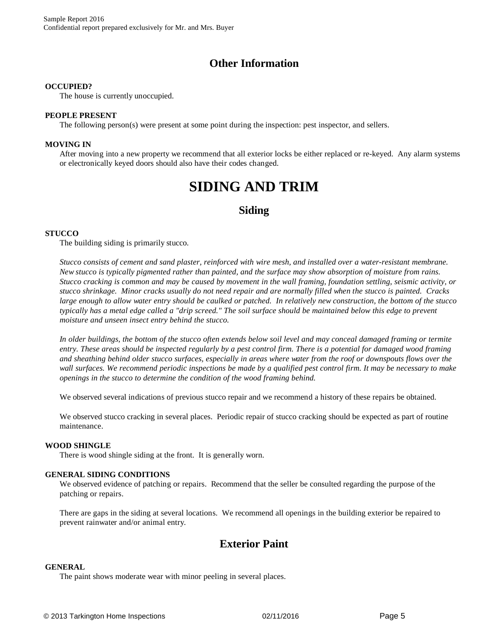## **Other Information**

#### **OCCUPIED?**

The house is currently unoccupied.

#### **PEOPLE PRESENT**

The following person(s) were present at some point during the inspection: pest inspector, and sellers.

#### **MOVING IN**

After moving into a new property we recommend that all exterior locks be either replaced or re-keyed. Any alarm systems or electronically keyed doors should also have their codes changed.

## **SIDING AND TRIM**

### **Siding**

#### **STUCCO**

The building siding is primarily stucco.

*Stucco consists of cement and sand plaster, reinforced with wire mesh, and installed over a water-resistant membrane. New stucco is typically pigmented rather than painted, and the surface may show absorption of moisture from rains. Stucco cracking is common and may be caused by movement in the wall framing, foundation settling, seismic activity, or stucco shrinkage. Minor cracks usually do not need repair and are normally filled when the stucco is painted. Cracks large enough to allow water entry should be caulked or patched. In relatively new construction, the bottom of the stucco typically has a metal edge called a "drip screed." The soil surface should be maintained below this edge to prevent moisture and unseen insect entry behind the stucco.*

*In older buildings, the bottom of the stucco often extends below soil level and may conceal damaged framing or termite entry. These areas should be inspected regularly by a pest control firm. There is a potential for damaged wood framing and sheathing behind older stucco surfaces, especially in areas where water from the roof or downspouts flows over the wall surfaces. We recommend periodic inspections be made by a qualified pest control firm. It may be necessary to make openings in the stucco to determine the condition of the wood framing behind.*

We observed several indications of previous stucco repair and we recommend a history of these repairs be obtained.

We observed stucco cracking in several places. Periodic repair of stucco cracking should be expected as part of routine maintenance.

#### **WOOD SHINGLE**

There is wood shingle siding at the front. It is generally worn.

#### **GENERAL SIDING CONDITIONS**

We observed evidence of patching or repairs. Recommend that the seller be consulted regarding the purpose of the patching or repairs.

There are gaps in the siding at several locations. We recommend all openings in the building exterior be repaired to prevent rainwater and/or animal entry.

## **Exterior Paint**

#### **GENERAL**

The paint shows moderate wear with minor peeling in several places.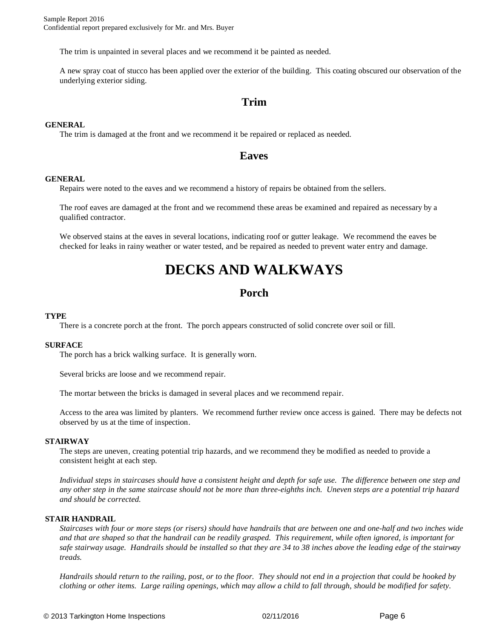The trim is unpainted in several places and we recommend it be painted as needed.

A new spray coat of stucco has been applied over the exterior of the building. This coating obscured our observation of the underlying exterior siding.

### **Trim**

#### **GENERAL**

The trim is damaged at the front and we recommend it be repaired or replaced as needed.

#### **Eaves**

#### **GENERAL**

Repairs were noted to the eaves and we recommend a history of repairs be obtained from the sellers.

The roof eaves are damaged at the front and we recommend these areas be examined and repaired as necessary by a qualified contractor.

We observed stains at the eaves in several locations, indicating roof or gutter leakage. We recommend the eaves be checked for leaks in rainy weather or water tested, and be repaired as needed to prevent water entry and damage.

## **DECKS AND WALKWAYS**

## **Porch**

#### **TYPE**

There is a concrete porch at the front. The porch appears constructed of solid concrete over soil or fill.

#### **SURFACE**

The porch has a brick walking surface. It is generally worn.

Several bricks are loose and we recommend repair.

The mortar between the bricks is damaged in several places and we recommend repair.

Access to the area was limited by planters. We recommend further review once access is gained. There may be defects not observed by us at the time of inspection.

#### **STAIRWAY**

The steps are uneven, creating potential trip hazards, and we recommend they be modified as needed to provide a consistent height at each step.

*Individual steps in staircases should have a consistent height and depth for safe use. The difference between one step and any other step in the same staircase should not be more than three-eighths inch. Uneven steps are a potential trip hazard and should be corrected.*

#### **STAIR HANDRAIL**

*Staircases with four or more steps (or risers) should have handrails that are between one and one-half and two inches wide and that are shaped so that the handrail can be readily grasped. This requirement, while often ignored, is important for safe stairway usage. Handrails should be installed so that they are 34 to 38 inches above the leading edge of the stairway treads.*

*Handrails should return to the railing, post, or to the floor. They should not end in a projection that could be hooked by clothing or other items. Large railing openings, which may allow a child to fall through, should be modified for safety.*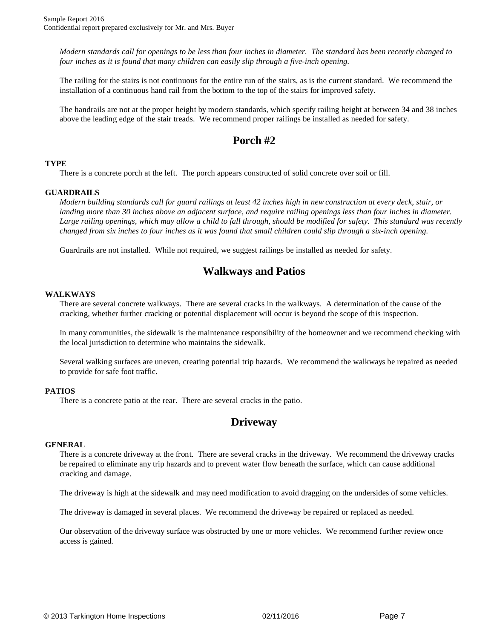*Modern standards call for openings to be less than four inches in diameter. The standard has been recently changed to four inches as it is found that many children can easily slip through a five-inch opening.*

The railing for the stairs is not continuous for the entire run of the stairs, as is the current standard. We recommend the installation of a continuous hand rail from the bottom to the top of the stairs for improved safety.

The handrails are not at the proper height by modern standards, which specify railing height at between 34 and 38 inches above the leading edge of the stair treads. We recommend proper railings be installed as needed for safety.

## **Porch #2**

#### **TYPE**

There is a concrete porch at the left. The porch appears constructed of solid concrete over soil or fill.

#### **GUARDRAILS**

*Modern building standards call for guard railings at least 42 inches high in new construction at every deck, stair, or landing more than 30 inches above an adjacent surface, and require railing openings less than four inches in diameter. Large railing openings, which may allow a child to fall through, should be modified for safety. This standard was recently changed from six inches to four inches as it was found that small children could slip through a six-inch opening.*

Guardrails are not installed. While not required, we suggest railings be installed as needed for safety.

## **Walkways and Patios**

#### **WALKWAYS**

There are several concrete walkways. There are several cracks in the walkways. A determination of the cause of the cracking, whether further cracking or potential displacement will occur is beyond the scope of this inspection.

In many communities, the sidewalk is the maintenance responsibility of the homeowner and we recommend checking with the local jurisdiction to determine who maintains the sidewalk.

Several walking surfaces are uneven, creating potential trip hazards. We recommend the walkways be repaired as needed to provide for safe foot traffic.

#### **PATIOS**

There is a concrete patio at the rear. There are several cracks in the patio.

### **Driveway**

#### **GENERAL**

There is a concrete driveway at the front. There are several cracks in the driveway. We recommend the driveway cracks be repaired to eliminate any trip hazards and to prevent water flow beneath the surface, which can cause additional cracking and damage.

The driveway is high at the sidewalk and may need modification to avoid dragging on the undersides of some vehicles.

The driveway is damaged in several places. We recommend the driveway be repaired or replaced as needed.

Our observation of the driveway surface was obstructed by one or more vehicles. We recommend further review once access is gained.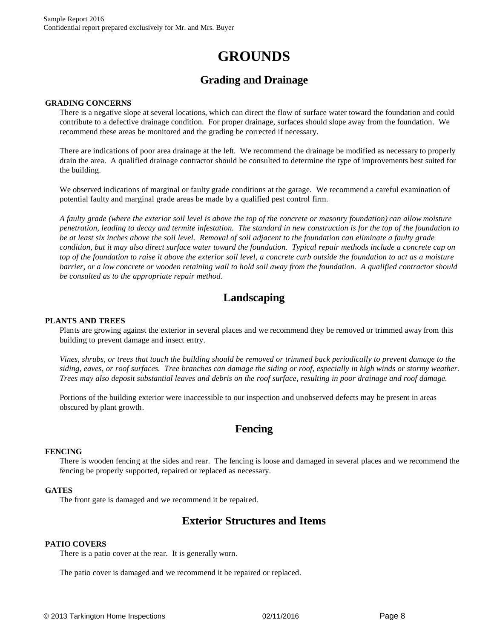## **GROUNDS**

## **Grading and Drainage**

#### **GRADING CONCERNS**

There is a negative slope at several locations, which can direct the flow of surface water toward the foundation and could contribute to a defective drainage condition. For proper drainage, surfaces should slope away from the foundation. We recommend these areas be monitored and the grading be corrected if necessary.

There are indications of poor area drainage at the left. We recommend the drainage be modified as necessary to properly drain the area. A qualified drainage contractor should be consulted to determine the type of improvements best suited for the building.

We observed indications of marginal or faulty grade conditions at the garage. We recommend a careful examination of potential faulty and marginal grade areas be made by a qualified pest control firm.

*A faulty grade (where the exterior soil level is above the top of the concrete or masonry foundation) can allow moisture penetration, leading to decay and termite infestation. The standard in new construction is for the top of the foundation to be at least six inches above the soil level. Removal of soil adjacent to the foundation can eliminate a faulty grade condition, but it may also direct surface water toward the foundation. Typical repair methods include a concrete cap on top of the foundation to raise it above the exterior soil level, a concrete curb outside the foundation to act as a moisture barrier, or a low concrete or wooden retaining wall to hold soil away from the foundation. A qualified contractor should be consulted as to the appropriate repair method.*

## **Landscaping**

#### **PLANTS AND TREES**

Plants are growing against the exterior in several places and we recommend they be removed or trimmed away from this building to prevent damage and insect entry.

*Vines, shrubs, or trees that touch the building should be removed or trimmed back periodically to prevent damage to the siding, eaves, or roof surfaces. Tree branches can damage the siding or roof, especially in high winds or stormy weather. Trees may also deposit substantial leaves and debris on the roof surface, resulting in poor drainage and roof damage.*

Portions of the building exterior were inaccessible to our inspection and unobserved defects may be present in areas obscured by plant growth.

### **Fencing**

#### **FENCING**

There is wooden fencing at the sides and rear. The fencing is loose and damaged in several places and we recommend the fencing be properly supported, repaired or replaced as necessary.

#### **GATES**

The front gate is damaged and we recommend it be repaired.

## **Exterior Structures and Items**

#### **PATIO COVERS**

There is a patio cover at the rear. It is generally worn.

The patio cover is damaged and we recommend it be repaired or replaced.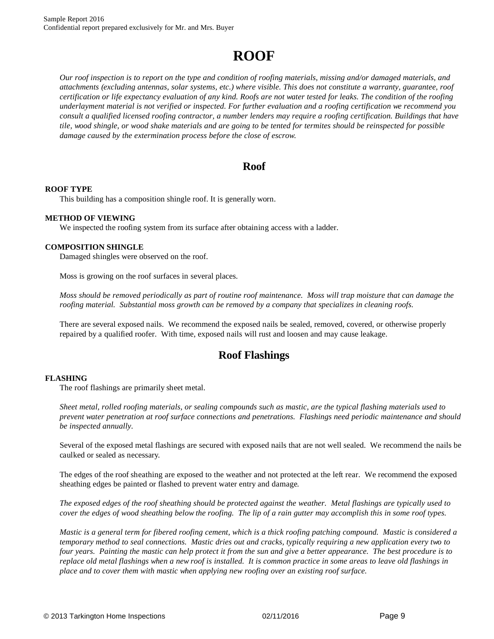## **ROOF**

*Our roof inspection is to report on the type and condition of roofing materials, missing and/or damaged materials, and attachments (excluding antennas, solar systems, etc.) where visible. This does not constitute a warranty, guarantee, roof certification or life expectancy evaluation of any kind. Roofs are not water tested for leaks. The condition of the roofing underlayment material is not verified or inspected. For further evaluation and a roofing certification we recommend you consult a qualified licensed roofing contractor, a number lenders may require a roofing certification. Buildings that have tile, wood shingle, or wood shake materials and are going to be tented for termites should be reinspected for possible damage caused by the extermination process before the close of escrow.*

## **Roof**

#### **ROOF TYPE**

This building has a composition shingle roof. It is generally worn.

#### **METHOD OF VIEWING**

We inspected the roofing system from its surface after obtaining access with a ladder.

#### **COMPOSITION SHINGLE**

Damaged shingles were observed on the roof.

Moss is growing on the roof surfaces in several places.

*Moss should be removed periodically as part of routine roof maintenance. Moss will trap moisture that can damage the roofing material. Substantial moss growth can be removed by a company that specializes in cleaning roofs.*

There are several exposed nails. We recommend the exposed nails be sealed, removed, covered, or otherwise properly repaired by a qualified roofer. With time, exposed nails will rust and loosen and may cause leakage.

## **Roof Flashings**

#### **FLASHING**

The roof flashings are primarily sheet metal.

*Sheet metal, rolled roofing materials, or sealing compounds such as mastic, are the typical flashing materials used to prevent water penetration at roof surface connections and penetrations. Flashings need periodic maintenance and should be inspected annually.*

Several of the exposed metal flashings are secured with exposed nails that are not well sealed. We recommend the nails be caulked or sealed as necessary.

The edges of the roof sheathing are exposed to the weather and not protected at the left rear. We recommend the exposed sheathing edges be painted or flashed to prevent water entry and damage.

*The exposed edges of the roof sheathing should be protected against the weather. Metal flashings are typically used to cover the edges of wood sheathing below the roofing. The lip of a rain gutter may accomplish this in some roof types.* 

*Mastic is a general term for fibered roofing cement, which is a thick roofing patching compound. Mastic is considered a temporary method to seal connections. Mastic dries out and cracks, typically requiring a new application every two to four years. Painting the mastic can help protect it from the sun and give a better appearance. The best procedure is to replace old metal flashings when a new roof is installed. It is common practice in some areas to leave old flashings in place and to cover them with mastic when applying new roofing over an existing roof surface.*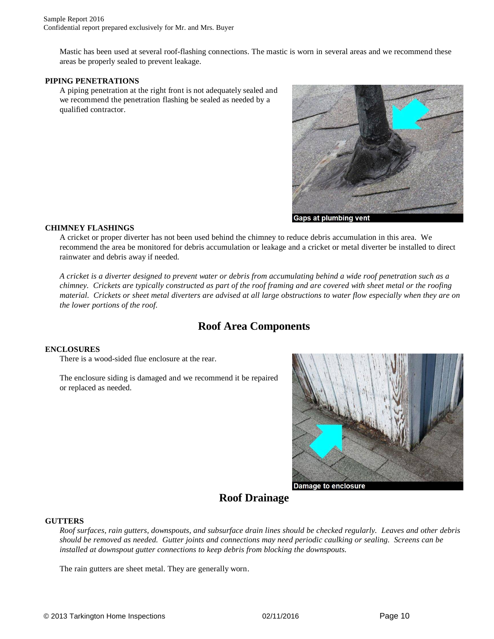Mastic has been used at several roof-flashing connections. The mastic is worn in several areas and we recommend these areas be properly sealed to prevent leakage.

#### **PIPING PENETRATIONS**

A piping penetration at the right front is not adequately sealed and we recommend the penetration flashing be sealed as needed by a qualified contractor.



#### **CHIMNEY FLASHINGS**

A cricket or proper diverter has not been used behind the chimney to reduce debris accumulation in this area. We recommend the area be monitored for debris accumulation or leakage and a cricket or metal diverter be installed to direct rainwater and debris away if needed.

*A cricket is a diverter designed to prevent water or debris from accumulating behind a wide roof penetration such as a chimney. Crickets are typically constructed as part of the roof framing and are covered with sheet metal or the roofing material. Crickets or sheet metal diverters are advised at all large obstructions to water flow especially when they are on the lower portions of the roof.*

## **Roof Area Components**

#### **ENCLOSURES**

There is a wood-sided flue enclosure at the rear.

The enclosure siding is damaged and we recommend it be repaired or replaced as needed.



## **Roof Drainage**

#### **GUTTERS**

*Roof surfaces, rain gutters, downspouts, and subsurface drain lines should be checked regularly. Leaves and other debris should be removed as needed. Gutter joints and connections may need periodic caulking or sealing. Screens can be installed at downspout gutter connections to keep debris from blocking the downspouts.*

The rain gutters are sheet metal. They are generally worn.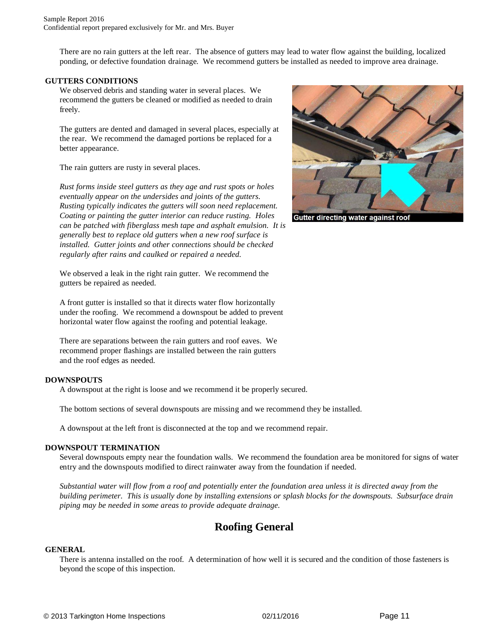There are no rain gutters at the left rear. The absence of gutters may lead to water flow against the building, localized ponding, or defective foundation drainage. We recommend gutters be installed as needed to improve area drainage.

#### **GUTTERS CONDITIONS**

We observed debris and standing water in several places. We recommend the gutters be cleaned or modified as needed to drain freely.

The gutters are dented and damaged in several places, especially at the rear. We recommend the damaged portions be replaced for a better appearance.

The rain gutters are rusty in several places.

*Rust forms inside steel gutters as they age and rust spots or holes eventually appear on the undersides and joints of the gutters. Rusting typically indicates the gutters will soon need replacement. Coating or painting the gutter interior can reduce rusting. Holes can be patched with fiberglass mesh tape and asphalt emulsion. It is generally best to replace old gutters when a new roof surface is installed. Gutter joints and other connections should be checked regularly after rains and caulked or repaired a needed.*

We observed a leak in the right rain gutter. We recommend the gutters be repaired as needed.

A front gutter is installed so that it directs water flow horizontally under the roofing. We recommend a downspout be added to prevent horizontal water flow against the roofing and potential leakage.

There are separations between the rain gutters and roof eaves. We recommend proper flashings are installed between the rain gutters and the roof edges as needed.

#### **DOWNSPOUTS**

A downspout at the right is loose and we recommend it be properly secured.

The bottom sections of several downspouts are missing and we recommend they be installed.

A downspout at the left front is disconnected at the top and we recommend repair.

#### **DOWNSPOUT TERMINATION**

Several downspouts empty near the foundation walls. We recommend the foundation area be monitored for signs of water entry and the downspouts modified to direct rainwater away from the foundation if needed.

*Substantial water will flow from a roof and potentially enter the foundation area unless it is directed away from the building perimeter. This is usually done by installing extensions or splash blocks for the downspouts. Subsurface drain piping may be needed in some areas to provide adequate drainage.*

## **Roofing General**

#### **GENERAL**

There is antenna installed on the roof. A determination of how well it is secured and the condition of those fasteners is beyond the scope of this inspection.



Gutter directing water against roof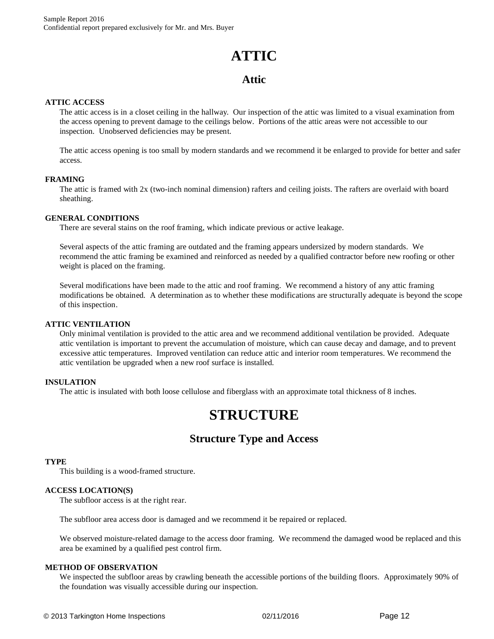## **ATTIC**

## **Attic**

#### **ATTIC ACCESS**

The attic access is in a closet ceiling in the hallway. Our inspection of the attic was limited to a visual examination from the access opening to prevent damage to the ceilings below. Portions of the attic areas were not accessible to our inspection. Unobserved deficiencies may be present.

The attic access opening is too small by modern standards and we recommend it be enlarged to provide for better and safer access.

#### **FRAMING**

The attic is framed with 2x (two-inch nominal dimension) rafters and ceiling joists. The rafters are overlaid with board sheathing.

#### **GENERAL CONDITIONS**

There are several stains on the roof framing, which indicate previous or active leakage.

Several aspects of the attic framing are outdated and the framing appears undersized by modern standards. We recommend the attic framing be examined and reinforced as needed by a qualified contractor before new roofing or other weight is placed on the framing.

Several modifications have been made to the attic and roof framing. We recommend a history of any attic framing modifications be obtained. A determination as to whether these modifications are structurally adequate is beyond the scope of this inspection.

#### **ATTIC VENTILATION**

Only minimal ventilation is provided to the attic area and we recommend additional ventilation be provided. Adequate attic ventilation is important to prevent the accumulation of moisture, which can cause decay and damage, and to prevent excessive attic temperatures. Improved ventilation can reduce attic and interior room temperatures. We recommend the attic ventilation be upgraded when a new roof surface is installed.

#### **INSULATION**

The attic is insulated with both loose cellulose and fiberglass with an approximate total thickness of 8 inches.

## **STRUCTURE**

## **Structure Type and Access**

#### **TYPE**

This building is a wood-framed structure.

#### **ACCESS LOCATION(S)**

The subfloor access is at the right rear.

The subfloor area access door is damaged and we recommend it be repaired or replaced.

We observed moisture-related damage to the access door framing. We recommend the damaged wood be replaced and this area be examined by a qualified pest control firm.

#### **METHOD OF OBSERVATION**

We inspected the subfloor areas by crawling beneath the accessible portions of the building floors. Approximately 90% of the foundation was visually accessible during our inspection.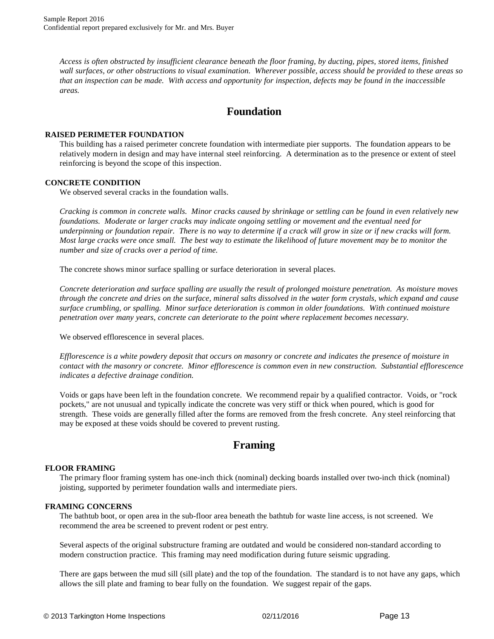*Access is often obstructed by insufficient clearance beneath the floor framing, by ducting, pipes, stored items, finished wall surfaces, or other obstructions to visual examination. Wherever possible, access should be provided to these areas so that an inspection can be made. With access and opportunity for inspection, defects may be found in the inaccessible areas.*

### **Foundation**

#### **RAISED PERIMETER FOUNDATION**

This building has a raised perimeter concrete foundation with intermediate pier supports. The foundation appears to be relatively modern in design and may have internal steel reinforcing. A determination as to the presence or extent of steel reinforcing is beyond the scope of this inspection.

#### **CONCRETE CONDITION**

We observed several cracks in the foundation walls.

*Cracking is common in concrete walls. Minor cracks caused by shrinkage or settling can be found in even relatively new foundations. Moderate or larger cracks may indicate ongoing settling or movement and the eventual need for underpinning or foundation repair. There is no way to determine if a crack will grow in size or if new cracks will form. Most large cracks were once small. The best way to estimate the likelihood of future movement may be to monitor the number and size of cracks over a period of time.*

The concrete shows minor surface spalling or surface deterioration in several places.

*Concrete deterioration and surface spalling are usually the result of prolonged moisture penetration. As moisture moves through the concrete and dries on the surface, mineral salts dissolved in the water form crystals, which expand and cause surface crumbling, or spalling. Minor surface deterioration is common in older foundations. With continued moisture penetration over many years, concrete can deteriorate to the point where replacement becomes necessary.*

We observed efflorescence in several places.

*Efflorescence is a white powdery deposit that occurs on masonry or concrete and indicates the presence of moisture in contact with the masonry or concrete. Minor efflorescence is common even in new construction. Substantial efflorescence indicates a defective drainage condition.*

Voids or gaps have been left in the foundation concrete. We recommend repair by a qualified contractor. Voids, or "rock pockets," are not unusual and typically indicate the concrete was very stiff or thick when poured, which is good for strength. These voids are generally filled after the forms are removed from the fresh concrete. Any steel reinforcing that may be exposed at these voids should be covered to prevent rusting.

## **Framing**

#### **FLOOR FRAMING**

The primary floor framing system has one-inch thick (nominal) decking boards installed over two-inch thick (nominal) joisting, supported by perimeter foundation walls and intermediate piers.

#### **FRAMING CONCERNS**

The bathtub boot, or open area in the sub-floor area beneath the bathtub for waste line access, is not screened. We recommend the area be screened to prevent rodent or pest entry.

Several aspects of the original substructure framing are outdated and would be considered non-standard according to modern construction practice. This framing may need modification during future seismic upgrading.

There are gaps between the mud sill (sill plate) and the top of the foundation. The standard is to not have any gaps, which allows the sill plate and framing to bear fully on the foundation. We suggest repair of the gaps.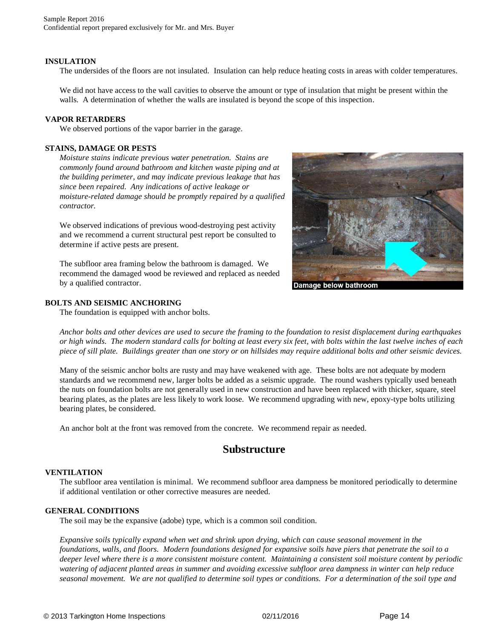#### **INSULATION**

The undersides of the floors are not insulated. Insulation can help reduce heating costs in areas with colder temperatures.

We did not have access to the wall cavities to observe the amount or type of insulation that might be present within the walls. A determination of whether the walls are insulated is beyond the scope of this inspection.

#### **VAPOR RETARDERS**

We observed portions of the vapor barrier in the garage.

#### **STAINS, DAMAGE OR PESTS**

*Moisture stains indicate previous water penetration. Stains are commonly found around bathroom and kitchen waste piping and at the building perimeter, and may indicate previous leakage that has since been repaired. Any indications of active leakage or moisture-related damage should be promptly repaired by a qualified contractor.*

We observed indications of previous wood-destroying pest activity and we recommend a current structural pest report be consulted to determine if active pests are present.

The subfloor area framing below the bathroom is damaged. We recommend the damaged wood be reviewed and replaced as needed by a qualified contractor.

#### **BOLTS AND SEISMIC ANCHORING**

The foundation is equipped with anchor bolts.



*Anchor bolts and other devices are used to secure the framing to the foundation to resist displacement during earthquakes or high winds. The modern standard calls for bolting at least every six feet, with bolts within the last twelve inches of each piece of sill plate. Buildings greater than one story or on hillsides may require additional bolts and other seismic devices.*

Many of the seismic anchor bolts are rusty and may have weakened with age. These bolts are not adequate by modern standards and we recommend new, larger bolts be added as a seismic upgrade. The round washers typically used beneath the nuts on foundation bolts are not generally used in new construction and have been replaced with thicker, square, steel bearing plates, as the plates are less likely to work loose. We recommend upgrading with new, epoxy-type bolts utilizing bearing plates, be considered.

An anchor bolt at the front was removed from the concrete. We recommend repair as needed.

### **Substructure**

#### **VENTILATION**

The subfloor area ventilation is minimal. We recommend subfloor area dampness be monitored periodically to determine if additional ventilation or other corrective measures are needed.

#### **GENERAL CONDITIONS**

The soil may be the expansive (adobe) type, which is a common soil condition.

*Expansive soils typically expand when wet and shrink upon drying, which can cause seasonal movement in the foundations, walls, and floors. Modern foundations designed for expansive soils have piers that penetrate the soil to a deeper level where there is a more consistent moisture content. Maintaining a consistent soil moisture content by periodic watering of adjacent planted areas in summer and avoiding excessive subfloor area dampness in winter can help reduce seasonal movement. We are not qualified to determine soil types or conditions. For a determination of the soil type and*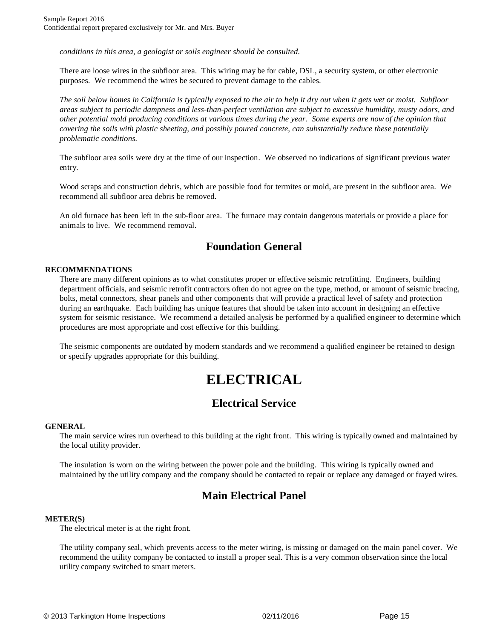*conditions in this area, a geologist or soils engineer should be consulted.*

There are loose wires in the subfloor area. This wiring may be for cable, DSL, a security system, or other electronic purposes. We recommend the wires be secured to prevent damage to the cables.

*The soil below homes in California is typically exposed to the air to help it dry out when it gets wet or moist. Subfloor areas subject to periodic dampness and less-than-perfect ventilation are subject to excessive humidity, musty odors, and other potential mold producing conditions at various times during the year. Some experts are now of the opinion that covering the soils with plastic sheeting, and possibly poured concrete, can substantially reduce these potentially problematic conditions.*

The subfloor area soils were dry at the time of our inspection. We observed no indications of significant previous water entry.

Wood scraps and construction debris, which are possible food for termites or mold, are present in the subfloor area. We recommend all subfloor area debris be removed.

An old furnace has been left in the sub-floor area. The furnace may contain dangerous materials or provide a place for animals to live. We recommend removal.

## **Foundation General**

#### **RECOMMENDATIONS**

There are many different opinions as to what constitutes proper or effective seismic retrofitting. Engineers, building department officials, and seismic retrofit contractors often do not agree on the type, method, or amount of seismic bracing, bolts, metal connectors, shear panels and other components that will provide a practical level of safety and protection during an earthquake. Each building has unique features that should be taken into account in designing an effective system for seismic resistance. We recommend a detailed analysis be performed by a qualified engineer to determine which procedures are most appropriate and cost effective for this building.

The seismic components are outdated by modern standards and we recommend a qualified engineer be retained to design or specify upgrades appropriate for this building.

## **ELECTRICAL**

## **Electrical Service**

#### **GENERAL**

The main service wires run overhead to this building at the right front. This wiring is typically owned and maintained by the local utility provider.

The insulation is worn on the wiring between the power pole and the building. This wiring is typically owned and maintained by the utility company and the company should be contacted to repair or replace any damaged or frayed wires.

## **Main Electrical Panel**

#### **METER(S)**

The electrical meter is at the right front.

The utility company seal, which prevents access to the meter wiring, is missing or damaged on the main panel cover. We recommend the utility company be contacted to install a proper seal. This is a very common observation since the local utility company switched to smart meters.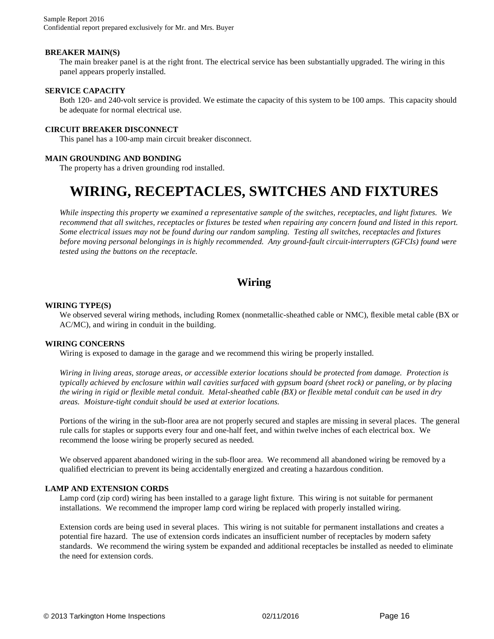#### **BREAKER MAIN(S)**

The main breaker panel is at the right front. The electrical service has been substantially upgraded. The wiring in this panel appears properly installed.

#### **SERVICE CAPACITY**

Both 120- and 240-volt service is provided. We estimate the capacity of this system to be 100 amps. This capacity should be adequate for normal electrical use.

#### **CIRCUIT BREAKER DISCONNECT**

This panel has a 100-amp main circuit breaker disconnect.

#### **MAIN GROUNDING AND BONDING**

The property has a driven grounding rod installed.

## **WIRING, RECEPTACLES, SWITCHES AND FIXTURES**

*While inspecting this property we examined a representative sample of the switches, receptacles, and light fixtures. We recommend that all switches, receptacles or fixtures be tested when repairing any concern found and listed in this report. Some electrical issues may not be found during our random sampling. Testing all switches, receptacles and fixtures before moving personal belongings in is highly recommended. Any ground-fault circuit-interrupters (GFCIs) found were tested using the buttons on the receptacle.*

## **Wiring**

#### **WIRING TYPE(S)**

We observed several wiring methods, including Romex (nonmetallic-sheathed cable or NMC), flexible metal cable (BX or AC/MC), and wiring in conduit in the building.

#### **WIRING CONCERNS**

Wiring is exposed to damage in the garage and we recommend this wiring be properly installed.

*Wiring in living areas, storage areas, or accessible exterior locations should be protected from damage. Protection is typically achieved by enclosure within wall cavities surfaced with gypsum board (sheet rock) or paneling, or by placing the wiring in rigid or flexible metal conduit. Metal-sheathed cable (BX) or flexible metal conduit can be used in dry areas. Moisture-tight conduit should be used at exterior locations.*

Portions of the wiring in the sub-floor area are not properly secured and staples are missing in several places. The general rule calls for staples or supports every four and one-half feet, and within twelve inches of each electrical box. We recommend the loose wiring be properly secured as needed.

We observed apparent abandoned wiring in the sub-floor area. We recommend all abandoned wiring be removed by a qualified electrician to prevent its being accidentally energized and creating a hazardous condition.

#### **LAMP AND EXTENSION CORDS**

Lamp cord (zip cord) wiring has been installed to a garage light fixture. This wiring is not suitable for permanent installations. We recommend the improper lamp cord wiring be replaced with properly installed wiring.

Extension cords are being used in several places. This wiring is not suitable for permanent installations and creates a potential fire hazard. The use of extension cords indicates an insufficient number of receptacles by modern safety standards. We recommend the wiring system be expanded and additional receptacles be installed as needed to eliminate the need for extension cords.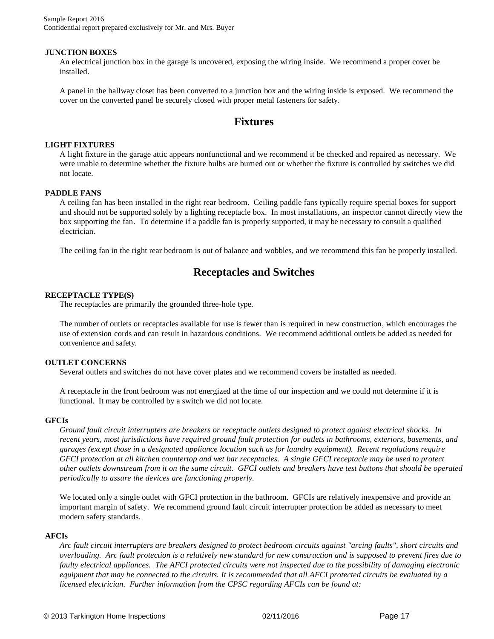Sample Report 2016 Confidential report prepared exclusively for Mr. and Mrs. Buyer

#### **JUNCTION BOXES**

An electrical junction box in the garage is uncovered, exposing the wiring inside. We recommend a proper cover be installed.

A panel in the hallway closet has been converted to a junction box and the wiring inside is exposed. We recommend the cover on the converted panel be securely closed with proper metal fasteners for safety.

### **Fixtures**

#### **LIGHT FIXTURES**

A light fixture in the garage attic appears nonfunctional and we recommend it be checked and repaired as necessary. We were unable to determine whether the fixture bulbs are burned out or whether the fixture is controlled by switches we did not locate.

#### **PADDLE FANS**

A ceiling fan has been installed in the right rear bedroom. Ceiling paddle fans typically require special boxes for support and should not be supported solely by a lighting receptacle box. In most installations, an inspector cannot directly view the box supporting the fan. To determine if a paddle fan is properly supported, it may be necessary to consult a qualified electrician.

The ceiling fan in the right rear bedroom is out of balance and wobbles, and we recommend this fan be properly installed.

## **Receptacles and Switches**

#### **RECEPTACLE TYPE(S)**

The receptacles are primarily the grounded three-hole type.

The number of outlets or receptacles available for use is fewer than is required in new construction, which encourages the use of extension cords and can result in hazardous conditions. We recommend additional outlets be added as needed for convenience and safety.

#### **OUTLET CONCERNS**

Several outlets and switches do not have cover plates and we recommend covers be installed as needed.

A receptacle in the front bedroom was not energized at the time of our inspection and we could not determine if it is functional. It may be controlled by a switch we did not locate.

#### **GFCIs**

*Ground fault circuit interrupters are breakers or receptacle outlets designed to protect against electrical shocks. In recent years, most jurisdictions have required ground fault protection for outlets in bathrooms, exteriors, basements, and garages (except those in a designated appliance location such as for laundry equipment). Recent regulations require GFCI protection at all kitchen countertop and wet bar receptacles. A single GFCI receptacle may be used to protect other outlets downstream from it on the same circuit. GFCI outlets and breakers have test buttons that should be operated periodically to assure the devices are functioning properly.*

We located only a single outlet with GFCI protection in the bathroom. GFCIs are relatively inexpensive and provide an important margin of safety. We recommend ground fault circuit interrupter protection be added as necessary to meet modern safety standards.

#### **AFCIs**

*Arc fault circuit interrupters are breakers designed to protect bedroom circuits against "arcing faults", short circuits and overloading. Arc fault protection is a relatively new standard for new construction and is supposed to prevent fires due to faulty electrical appliances. The AFCI protected circuits were not inspected due to the possibility of damaging electronic equipment that may be connected to the circuits. It is recommended that all AFCI protected circuits be evaluated by a licensed electrician. Further information from the CPSC regarding AFCIs can be found at:*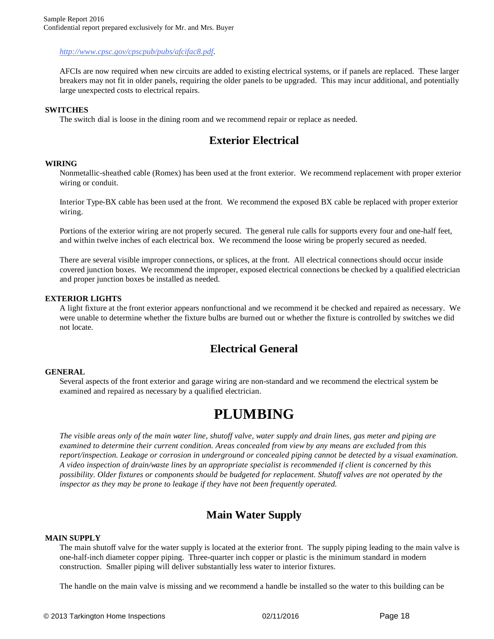*[http://w](http://www.cpsc.gov/cpscpub/pubs/afcifac8.pdf)[ww.cpsc.gov/cpscpub/pubs/afcifac8.pdf](www.cpsc.gov/cpscpub/pubs/afcifac8.pdf).*

AFCIs are now required when new circuits are added to existing electrical systems, or if panels are replaced. These larger breakers may not fit in older panels, requiring the older panels to be upgraded. This may incur additional, and potentially large unexpected costs to electrical repairs.

#### **SWITCHES**

The switch dial is loose in the dining room and we recommend repair or replace as needed.

## **Exterior Electrical**

#### **WIRING**

Nonmetallic-sheathed cable (Romex) has been used at the front exterior. We recommend replacement with proper exterior wiring or conduit.

Interior Type-BX cable has been used at the front. We recommend the exposed BX cable be replaced with proper exterior wiring.

Portions of the exterior wiring are not properly secured. The general rule calls for supports every four and one-half feet, and within twelve inches of each electrical box. We recommend the loose wiring be properly secured as needed.

There are several visible improper connections, or splices, at the front. All electrical connections should occur inside covered junction boxes. We recommend the improper, exposed electrical connections be checked by a qualified electrician and proper junction boxes be installed as needed.

#### **EXTERIOR LIGHTS**

A light fixture at the front exterior appears nonfunctional and we recommend it be checked and repaired as necessary. We were unable to determine whether the fixture bulbs are burned out or whether the fixture is controlled by switches we did not locate.

## **Electrical General**

#### **GENERAL**

Several aspects of the front exterior and garage wiring are non-standard and we recommend the electrical system be examined and repaired as necessary by a qualified electrician.

## **PLUMBING**

*The visible areas only of the main water line, shutoff valve, water supply and drain lines, gas meter and piping are examined to determine their current condition. Areas concealed from view by any means are excluded from this report/inspection. Leakage or corrosion in underground or concealed piping cannot be detected by a visual examination. A video inspection of drain/waste lines by an appropriate specialist is recommended if client is concerned by this possibility. Older fixtures or components should be budgeted for replacement. Shutoff valves are not operated by the inspector as they may be prone to leakage if they have not been frequently operated.*

## **Main Water Supply**

#### **MAIN SUPPLY**

The main shutoff valve for the water supply is located at the exterior front. The supply piping leading to the main valve is one-half-inch diameter copper piping. Three-quarter inch copper or plastic is the minimum standard in modern construction. Smaller piping will deliver substantially less water to interior fixtures.

The handle on the main valve is missing and we recommend a handle be installed so the water to this building can be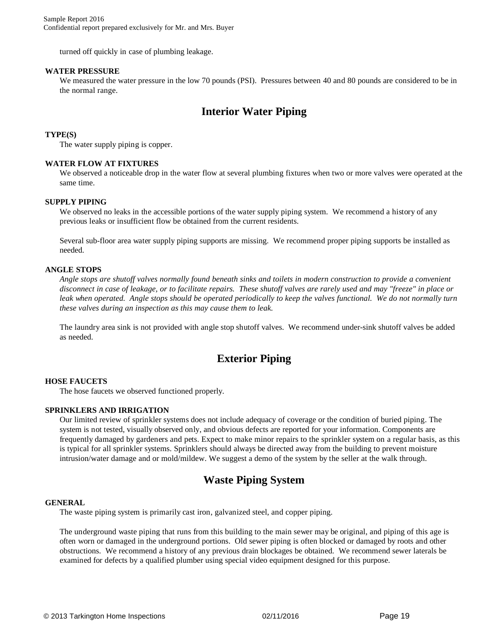turned off quickly in case of plumbing leakage.

#### **WATER PRESSURE**

We measured the water pressure in the low 70 pounds (PSI). Pressures between 40 and 80 pounds are considered to be in the normal range.

## **Interior Water Piping**

#### **TYPE(S)**

The water supply piping is copper.

#### **WATER FLOW AT FIXTURES**

We observed a noticeable drop in the water flow at several plumbing fixtures when two or more valves were operated at the same time.

#### **SUPPLY PIPING**

We observed no leaks in the accessible portions of the water supply piping system. We recommend a history of any previous leaks or insufficient flow be obtained from the current residents.

Several sub-floor area water supply piping supports are missing. We recommend proper piping supports be installed as needed.

#### **ANGLE STOPS**

*Angle stops are shutoff valves normally found beneath sinks and toilets in modern construction to provide a convenient disconnect in case of leakage, or to facilitate repairs. These shutoff valves are rarely used and may "freeze" in place or leak when operated. Angle stops should be operated periodically to keep the valves functional. We do not normally turn these valves during an inspection as this may cause them to leak.*

The laundry area sink is not provided with angle stop shutoff valves. We recommend under-sink shutoff valves be added as needed.

## **Exterior Piping**

#### **HOSE FAUCETS**

The hose faucets we observed functioned properly.

#### **SPRINKLERS AND IRRIGATION**

Our limited review of sprinkler systems does not include adequacy of coverage or the condition of buried piping. The system is not tested, visually observed only, and obvious defects are reported for your information. Components are frequently damaged by gardeners and pets. Expect to make minor repairs to the sprinkler system on a regular basis, as this is typical for all sprinkler systems. Sprinklers should always be directed away from the building to prevent moisture intrusion/water damage and or mold/mildew. We suggest a demo of the system by the seller at the walk through.

### **Waste Piping System**

#### **GENERAL**

The waste piping system is primarily cast iron, galvanized steel, and copper piping.

The underground waste piping that runs from this building to the main sewer may be original, and piping of this age is often worn or damaged in the underground portions. Old sewer piping is often blocked or damaged by roots and other obstructions. We recommend a history of any previous drain blockages be obtained. We recommend sewer laterals be examined for defects by a qualified plumber using special video equipment designed for this purpose.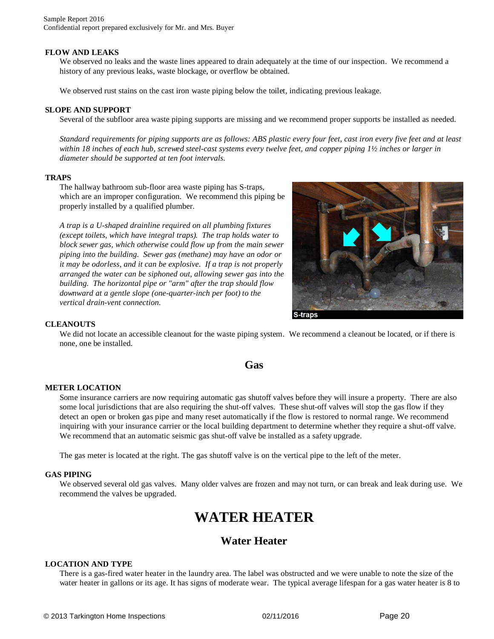#### **FLOW AND LEAKS**

We observed no leaks and the waste lines appeared to drain adequately at the time of our inspection. We recommend a history of any previous leaks, waste blockage, or overflow be obtained.

We observed rust stains on the cast iron waste piping below the toilet, indicating previous leakage.

#### **SLOPE AND SUPPORT**

Several of the subfloor area waste piping supports are missing and we recommend proper supports be installed as needed.

*Standard requirements for piping supports are as follows: ABS plastic every four feet, cast iron every five feet and at least within 18 inches of each hub, screwed steel-cast systems every twelve feet, and copper piping 1½ inches or larger in diameter should be supported at ten foot intervals.*

#### **TRAPS**

The hallway bathroom sub-floor area waste piping has S-traps, which are an improper configuration. We recommend this piping be properly installed by a qualified plumber.

*A trap is a U-shaped drainline required on all plumbing fixtures (except toilets, which have integral traps). The trap holds water to block sewer gas, which otherwise could flow up from the main sewer piping into the building. Sewer gas (methane) may have an odor or it may be odorless, and it can be explosive. If a trap is not properly arranged the water can be siphoned out, allowing sewer gas into the building. The horizontal pipe or "arm" after the trap should flow downward at a gentle slope (one-quarter-inch per foot) to the vertical drain-vent connection.*



#### **CLEANOUTS**

We did not locate an accessible cleanout for the waste piping system. We recommend a cleanout be located, or if there is none, one be installed.

### **Gas**

#### **METER LOCATION**

Some insurance carriers are now requiring automatic gas shutoff valves before they will insure a property. There are also some local jurisdictions that are also requiring the shut-off valves. These shut-off valves will stop the gas flow if they detect an open or broken gas pipe and many reset automatically if the flow is restored to normal range. We recommend inquiring with your insurance carrier or the local building department to determine whether they require a shut-off valve. We recommend that an automatic seismic gas shut-off valve be installed as a safety upgrade.

The gas meter is located at the right. The gas shutoff valve is on the vertical pipe to the left of the meter.

#### **GAS PIPING**

We observed several old gas valves. Many older valves are frozen and may not turn, or can break and leak during use. We recommend the valves be upgraded.

## **WATER HEATER**

## **Water Heater**

#### **LOCATION AND TYPE**

There is a gas-fired water heater in the laundry area. The label was obstructed and we were unable to note the size of the water heater in gallons or its age. It has signs of moderate wear. The typical average lifespan for a gas water heater is 8 to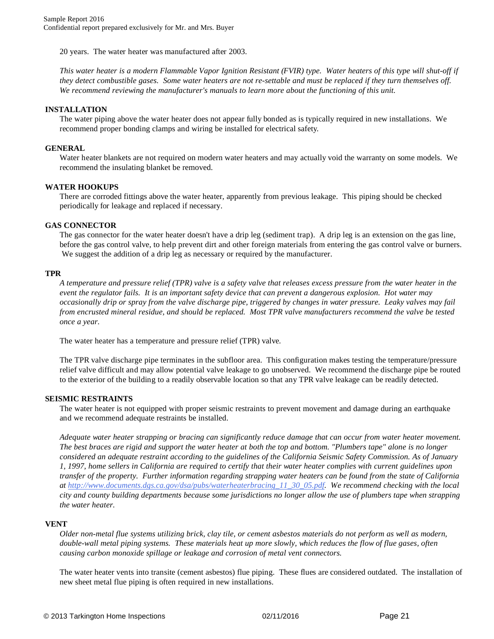20 years. The water heater was manufactured after 2003.

*This water heater is a modern Flammable Vapor Ignition Resistant (FVIR) type. Water heaters of this type will shut-off if they detect combustible gases. Some water heaters are not re-settable and must be replaced if they turn themselves off. We recommend reviewing the manufacturer's manuals to learn more about the functioning of this unit.*

#### **INSTALLATION**

The water piping above the water heater does not appear fully bonded as is typically required in new installations. We recommend proper bonding clamps and wiring be installed for electrical safety.

#### **GENERAL**

Water heater blankets are not required on modern water heaters and may actually void the warranty on some models. We recommend the insulating blanket be removed.

#### **WATER HOOKUPS**

There are corroded fittings above the water heater, apparently from previous leakage. This piping should be checked periodically for leakage and replaced if necessary.

#### **GAS CONNECTOR**

The gas connector for the water heater doesn't have a drip leg (sediment trap). A drip leg is an extension on the gas line, before the gas control valve, to help prevent dirt and other foreign materials from entering the gas control valve or burners. We suggest the addition of a drip leg as necessary or required by the manufacturer.

#### **TPR**

*A temperature and pressure relief (TPR) valve is a safety valve that releases excess pressure from the water heater in the event the regulator fails. It is an important safety device that can prevent a dangerous explosion. Hot water may occasionally drip or spray from the valve discharge pipe, triggered by changes in water pressure. Leaky valves may fail from encrusted mineral residue, and should be replaced. Most TPR valve manufacturers recommend the valve be tested once a year.*

The water heater has a temperature and pressure relief (TPR) valve.

The TPR valve discharge pipe terminates in the subfloor area. This configuration makes testing the temperature/pressure relief valve difficult and may allow potential valve leakage to go unobserved. We recommend the discharge pipe be routed to the exterior of the building to a readily observable location so that any TPR valve leakage can be readily detected.

#### **SEISMIC RESTRAINTS**

The water heater is not equipped with proper seismic restraints to prevent movement and damage during an earthquake and we recommend adequate restraints be installed.

*Adequate water heater strapping or bracing can significantly reduce damage that can occur from water heater movement. The best braces are rigid and support the water heater at both the top and bottom. "Plumbers tape" alone is no longer considered an adequate restraint according to the guidelines of the California Seismic Safety Commission. As of January 1, 1997, home sellers in California are required to certify that their water heater complies with current guidelines upon transfer of the property. Further information regarding strapping water heaters can be found from the state of California at [h](http://www.documents.dgs.ca.gov/dsa/pubs/waterheaterbracing_11_30_05.pdf)[ttp://ww](http://www.documents.dgs.ca.gov/dsa/pubs/waterheaterbracing_11_30_05.pdf.)[w.documents.dgs.ca.gov/dsa/pubs/waterheaterbracing\\_11\\_30\\_05.pdf.](www.documents.dgs.ca.gov/dsa/pubs/waterheaterbracing_11_30_05.pdf.) We recommend checking with the local city and county building departments because some jurisdictions no longer allow the use of plumbers tape when strapping the water heater.*

#### **VENT**

*Older non-metal flue systems utilizing brick, clay tile, or cement asbestos materials do not perform as well as modern, double-wall metal piping systems. These materials heat up more slowly, which reduces the flow of flue gases, often causing carbon monoxide spillage or leakage and corrosion of metal vent connectors.*

The water heater vents into transite (cement asbestos) flue piping. These flues are considered outdated. The installation of new sheet metal flue piping is often required in new installations.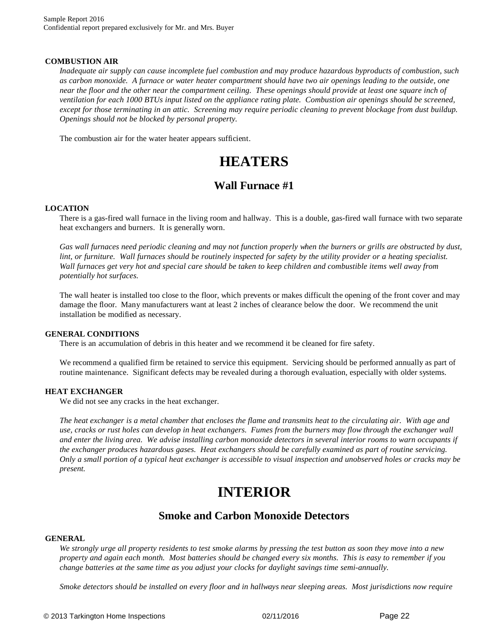#### **COMBUSTION AIR**

*Inadequate air supply can cause incomplete fuel combustion and may produce hazardous byproducts of combustion, such as carbon monoxide. A furnace or water heater compartment should have two air openings leading to the outside, one near the floor and the other near the compartment ceiling. These openings should provide at least one square inch of ventilation for each 1000 BTUs input listed on the appliance rating plate. Combustion air openings should be screened, except for those terminating in an attic. Screening may require periodic cleaning to prevent blockage from dust buildup. Openings should not be blocked by personal property.* 

The combustion air for the water heater appears sufficient.

## **HEATERS**

## **Wall Furnace #1**

#### **LOCATION**

There is a gas-fired wall furnace in the living room and hallway. This is a double, gas-fired wall furnace with two separate heat exchangers and burners. It is generally worn.

*Gas wall furnaces need periodic cleaning and may not function properly when the burners or grills are obstructed by dust, lint, or furniture. Wall furnaces should be routinely inspected for safety by the utility provider or a heating specialist. Wall furnaces get very hot and special care should be taken to keep children and combustible items well away from potentially hot surfaces.*

The wall heater is installed too close to the floor, which prevents or makes difficult the opening of the front cover and may damage the floor. Many manufacturers want at least 2 inches of clearance below the door. We recommend the unit installation be modified as necessary.

#### **GENERAL CONDITIONS**

There is an accumulation of debris in this heater and we recommend it be cleaned for fire safety.

We recommend a qualified firm be retained to service this equipment. Servicing should be performed annually as part of routine maintenance. Significant defects may be revealed during a thorough evaluation, especially with older systems.

#### **HEAT EXCHANGER**

We did not see any cracks in the heat exchanger.

*The heat exchanger is a metal chamber that encloses the flame and transmits heat to the circulating air. With age and use, cracks or rust holes can develop in heat exchangers. Fumes from the burners may flow through the exchanger wall and enter the living area. We advise installing carbon monoxide detectors in several interior rooms to warn occupants if the exchanger produces hazardous gases. Heat exchangers should be carefully examined as part of routine servicing. Only a small portion of a typical heat exchanger is accessible to visual inspection and unobserved holes or cracks may be present.*

## **INTERIOR**

### **Smoke and Carbon Monoxide Detectors**

#### **GENERAL**

*We strongly urge all property residents to test smoke alarms by pressing the test button as soon they move into a new property and again each month. Most batteries should be changed every six months. This is easy to remember if you change batteries at the same time as you adjust your clocks for daylight savings time semi-annually.* 

*Smoke detectors should be installed on every floor and in hallways near sleeping areas. Most jurisdictions now require*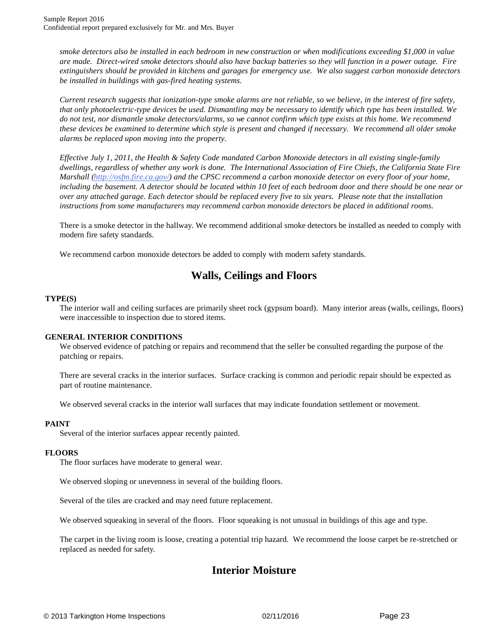*smoke detectors also be installed in each bedroom in new construction or when modifications exceeding \$1,000 in value are made. Direct-wired smoke detectors should also have backup batteries so they will function in a power outage. Fire extinguishers should be provided in kitchens and garages for emergency use. We also suggest carbon monoxide detectors be installed in buildings with gas-fired heating systems.*

*Current research suggests that ionization-type smoke alarms are not reliable, so we believe, in the interest of fire safety, that only photoelectric-type devices be used. Dismantling may be necessary to identify which type has been installed. We do not test, nor dismantle smoke detectors/alarms, so we cannot confirm which type exists at this home. We recommend these devices be examined to determine which style is present and changed if necessary. We recommend all older smoke alarms be replaced upon moving into the property.*

*Effective July 1, 2011, the Health & Safety Code mandated Carbon Monoxide detectors in all existing single-family dwellings, regardless of whether any work is done. The International Association of Fire Chiefs, the California State Fire Marshall ([http://osfm.fire.ca.gov/\)](http://osfm.fire.ca.gov/) and the CPSC recommend a carbon monoxide detector on every floor of your home, including the basement. A detector should be located within 10 feet of each bedroom door and there should be one near or over any attached garage. Each detector should be replaced every five to six years. Please note that the installation instructions from some manufacturers may recommend carbon monoxide detectors be placed in additional rooms.*

There is a smoke detector in the hallway. We recommend additional smoke detectors be installed as needed to comply with modern fire safety standards.

We recommend carbon monoxide detectors be added to comply with modern safety standards.

## **Walls, Ceilings and Floors**

#### **TYPE(S)**

The interior wall and ceiling surfaces are primarily sheet rock (gypsum board). Many interior areas (walls, ceilings, floors) were inaccessible to inspection due to stored items.

#### **GENERAL INTERIOR CONDITIONS**

We observed evidence of patching or repairs and recommend that the seller be consulted regarding the purpose of the patching or repairs.

There are several cracks in the interior surfaces. Surface cracking is common and periodic repair should be expected as part of routine maintenance.

We observed several cracks in the interior wall surfaces that may indicate foundation settlement or movement.

#### **PAINT**

Several of the interior surfaces appear recently painted.

#### **FLOORS**

The floor surfaces have moderate to general wear.

We observed sloping or unevenness in several of the building floors.

Several of the tiles are cracked and may need future replacement.

We observed squeaking in several of the floors. Floor squeaking is not unusual in buildings of this age and type.

The carpet in the living room is loose, creating a potential trip hazard. We recommend the loose carpet be re-stretched or replaced as needed for safety.

## **Interior Moisture**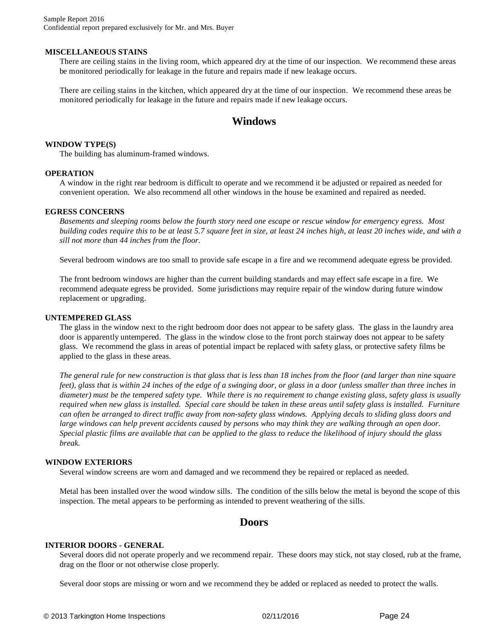#### **MISCELLANEOUS STAINS**

There are ceiling stains in the living room, which appeared dry at the time of our inspection. We recommend these areas be monitored periodically for leakage in the future and repairs made if new leakage occurs.

There are ceiling stains in the kitchen, which appeared dry at the time of our inspection. We recommend these areas be monitored periodically for leakage in the future and repairs made if new leakage occurs.

## **Windows**

#### **WINDOW TYPE(S)**

The building has aluminum-framed windows.

#### **OPERATION**

A window in the right rear bedroom is difficult to operate and we recommend it be adjusted or repaired as needed for convenient operation. We also recommend all other windows in the house be examined and repaired as needed.

#### **EGRESS CONCERNS**

*Basements and sleeping rooms below the fourth story need one escape or rescue window for emergency egress. Most building codes require this to be at least 5.7 square feet in size, at least 24 inches high, at least 20 inches wide, and with a sill not more than 44 inches from the floor.*

Several bedroom windows are too small to provide safe escape in a fire and we recommend adequate egress be provided.

The front bedroom windows are higher than the current building standards and may effect safe escape in a fire. We recommend adequate egress be provided. Some jurisdictions may require repair of the window during future window replacement or upgrading.

#### **UNTEMPERED GLASS**

The glass in the window next to the right bedroom door does not appear to be safety glass. The glass in the laundry area door is apparently untempered. The glass in the window close to the front porch stairway does not appear to be safety glass. We recommend the glass in areas of potential impact be replaced with safety glass, or protective safety films be applied to the glass in these areas.

*The general rule for new construction is that glass that is less than 18 inches from the floor (and larger than nine square feet), glass that is within 24 inches of the edge of a swinging door, or glass in a door (unless smaller than three inches in diameter) must be the tempered safety type. While there is no requirement to change existing glass, safety glass is usually required when new glass is installed. Special care should be taken in these areas until safety glass is installed. Furniture can often be arranged to direct traffic away from non-safety glass windows. Applying decals to sliding glass doors and large windows can help prevent accidents caused by persons who may think they are walking through an open door. Special plastic films are available that can be applied to the glass to reduce the likelihood of injury should the glass break.*

#### **WINDOW EXTERIORS**

Several window screens are worn and damaged and we recommend they be repaired or replaced as needed.

Metal has been installed over the wood window sills. The condition of the sills below the metal is beyond the scope of this inspection. The metal appears to be performing as intended to prevent weathering of the sills.

### **Doors**

#### **INTERIOR DOORS - GENERAL**

Several doors did not operate properly and we recommend repair. These doors may stick, not stay closed, rub at the frame, drag on the floor or not otherwise close properly.

Several door stops are missing or worn and we recommend they be added or replaced as needed to protect the walls.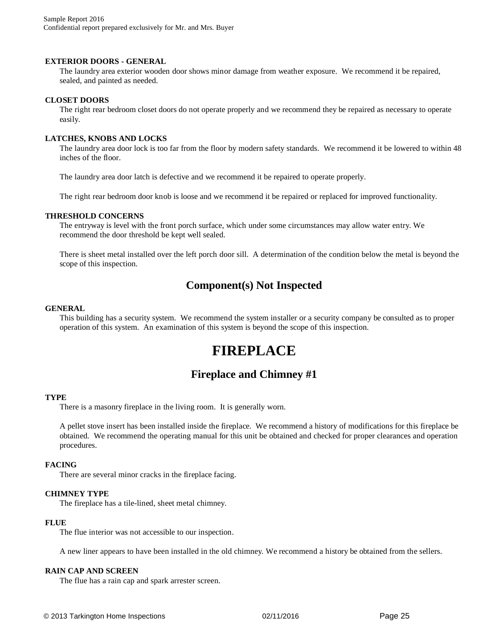#### **EXTERIOR DOORS - GENERAL**

The laundry area exterior wooden door shows minor damage from weather exposure. We recommend it be repaired, sealed, and painted as needed.

#### **CLOSET DOORS**

The right rear bedroom closet doors do not operate properly and we recommend they be repaired as necessary to operate easily.

#### **LATCHES, KNOBS AND LOCKS**

The laundry area door lock is too far from the floor by modern safety standards. We recommend it be lowered to within 48 inches of the floor.

The laundry area door latch is defective and we recommend it be repaired to operate properly.

The right rear bedroom door knob is loose and we recommend it be repaired or replaced for improved functionality.

#### **THRESHOLD CONCERNS**

The entryway is level with the front porch surface, which under some circumstances may allow water entry. We recommend the door threshold be kept well sealed.

There is sheet metal installed over the left porch door sill. A determination of the condition below the metal is beyond the scope of this inspection.

### **Component(s) Not Inspected**

#### **GENERAL**

This building has a security system. We recommend the system installer or a security company be consulted as to proper operation of this system. An examination of this system is beyond the scope of this inspection.

## **FIREPLACE**

### **Fireplace and Chimney #1**

#### **TYPE**

There is a masonry fireplace in the living room. It is generally worn.

A pellet stove insert has been installed inside the fireplace. We recommend a history of modifications for this fireplace be obtained. We recommend the operating manual for this unit be obtained and checked for proper clearances and operation procedures.

#### **FACING**

There are several minor cracks in the fireplace facing.

#### **CHIMNEY TYPE**

The fireplace has a tile-lined, sheet metal chimney.

#### **FLUE**

The flue interior was not accessible to our inspection.

A new liner appears to have been installed in the old chimney. We recommend a history be obtained from the sellers.

#### **RAIN CAP AND SCREEN**

The flue has a rain cap and spark arrester screen.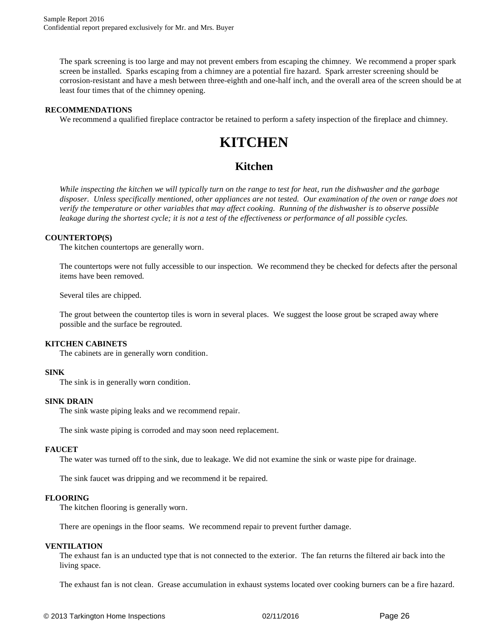The spark screening is too large and may not prevent embers from escaping the chimney. We recommend a proper spark screen be installed. Sparks escaping from a chimney are a potential fire hazard. Spark arrester screening should be corrosion-resistant and have a mesh between three-eighth and one-half inch, and the overall area of the screen should be at least four times that of the chimney opening.

#### **RECOMMENDATIONS**

We recommend a qualified fireplace contractor be retained to perform a safety inspection of the fireplace and chimney.

## **KITCHEN**

## **Kitchen**

*While inspecting the kitchen we will typically turn on the range to test for heat, run the dishwasher and the garbage disposer. Unless specifically mentioned, other appliances are not tested. Our examination of the oven or range does not verify the temperature or other variables that may affect cooking. Running of the dishwasher is to observe possible leakage during the shortest cycle; it is not a test of the effectiveness or performance of all possible cycles.*

#### **COUNTERTOP(S)**

The kitchen countertops are generally worn.

The countertops were not fully accessible to our inspection. We recommend they be checked for defects after the personal items have been removed.

Several tiles are chipped.

The grout between the countertop tiles is worn in several places. We suggest the loose grout be scraped away where possible and the surface be regrouted.

#### **KITCHEN CABINETS**

The cabinets are in generally worn condition.

#### **SINK**

The sink is in generally worn condition.

#### **SINK DRAIN**

The sink waste piping leaks and we recommend repair.

The sink waste piping is corroded and may soon need replacement.

#### **FAUCET**

The water was turned off to the sink, due to leakage. We did not examine the sink or waste pipe for drainage.

The sink faucet was dripping and we recommend it be repaired.

#### **FLOORING**

The kitchen flooring is generally worn.

There are openings in the floor seams. We recommend repair to prevent further damage.

#### **VENTILATION**

The exhaust fan is an unducted type that is not connected to the exterior. The fan returns the filtered air back into the living space.

The exhaust fan is not clean. Grease accumulation in exhaust systems located over cooking burners can be a fire hazard.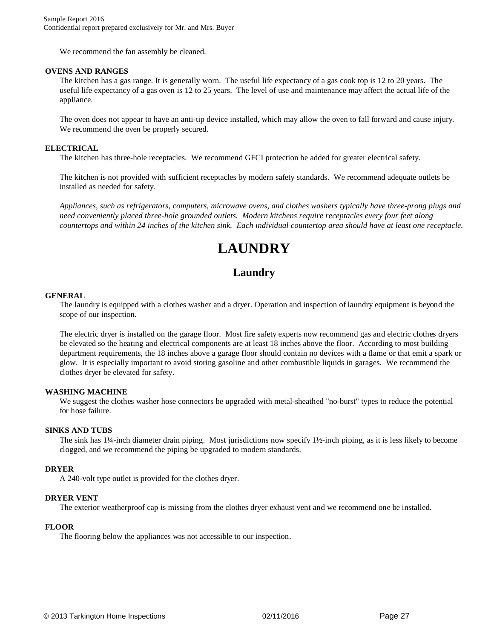We recommend the fan assembly be cleaned.

#### **OVENS AND RANGES**

The kitchen has a gas range. It is generally worn. The useful life expectancy of a gas cook top is 12 to 20 years. The useful life expectancy of a gas oven is 12 to 25 years. The level of use and maintenance may affect the actual life of the appliance.

The oven does not appear to have an anti-tip device installed, which may allow the oven to fall forward and cause injury. We recommend the oven be properly secured.

#### **ELECTRICAL**

The kitchen has three-hole receptacles. We recommend GFCI protection be added for greater electrical safety.

The kitchen is not provided with sufficient receptacles by modern safety standards. We recommend adequate outlets be installed as needed for safety.

*Appliances, such as refrigerators, computers, microwave ovens, and clothes washers typically have three-prong plugs and need conveniently placed three-hole grounded outlets. Modern kitchens require receptacles every four feet along countertops and within 24 inches of the kitchen sink. Each individual countertop area should have at least one receptacle.*

## **LAUNDRY**

## **Laundry**

#### **GENERAL**

The laundry is equipped with a clothes washer and a dryer. Operation and inspection of laundry equipment is beyond the scope of our inspection.

The electric dryer is installed on the garage floor. Most fire safety experts now recommend gas and electric clothes dryers be elevated so the heating and electrical components are at least 18 inches above the floor. According to most building department requirements, the 18 inches above a garage floor should contain no devices with a flame or that emit a spark or glow. It is especially important to avoid storing gasoline and other combustible liquids in garages. We recommend the clothes dryer be elevated for safety.

#### **WASHING MACHINE**

We suggest the clothes washer hose connectors be upgraded with metal-sheathed "no-burst" types to reduce the potential for hose failure.

#### **SINKS AND TUBS**

The sink has 1¼-inch diameter drain piping. Most jurisdictions now specify 1½-inch piping, as it is less likely to become clogged, and we recommend the piping be upgraded to modern standards.

#### **DRYER**

A 240-volt type outlet is provided for the clothes dryer.

#### **DRYER VENT**

The exterior weatherproof cap is missing from the clothes dryer exhaust vent and we recommend one be installed.

#### **FLOOR**

The flooring below the appliances was not accessible to our inspection.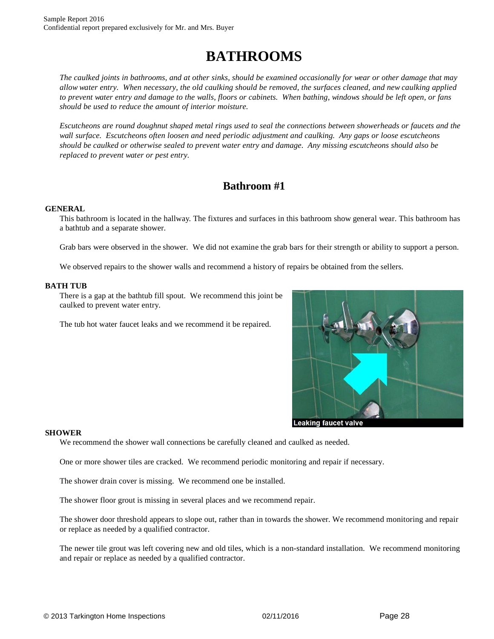# **BATHROOMS**

*The caulked joints in bathrooms, and at other sinks, should be examined occasionally for wear or other damage that may allow water entry. When necessary, the old caulking should be removed, the surfaces cleaned, and new caulking applied to prevent water entry and damage to the walls, floors or cabinets. When bathing, windows should be left open, or fans should be used to reduce the amount of interior moisture.* 

*Escutcheons are round doughnut shaped metal rings used to seal the connections between showerheads or faucets and the wall surface. Escutcheons often loosen and need periodic adjustment and caulking. Any gaps or loose escutcheons should be caulked or otherwise sealed to prevent water entry and damage. Any missing escutcheons should also be replaced to prevent water or pest entry.*

## **Bathroom #1**

#### **GENERAL**

This bathroom is located in the hallway. The fixtures and surfaces in this bathroom show general wear. This bathroom has a bathtub and a separate shower.

Grab bars were observed in the shower. We did not examine the grab bars for their strength or ability to support a person.

We observed repairs to the shower walls and recommend a history of repairs be obtained from the sellers.

#### **BATH TUB**

There is a gap at the bathtub fill spout. We recommend this joint be caulked to prevent water entry.

The tub hot water faucet leaks and we recommend it be repaired.



#### **SHOWER**

We recommend the shower wall connections be carefully cleaned and caulked as needed.

One or more shower tiles are cracked. We recommend periodic monitoring and repair if necessary.

The shower drain cover is missing. We recommend one be installed.

The shower floor grout is missing in several places and we recommend repair.

The shower door threshold appears to slope out, rather than in towards the shower. We recommend monitoring and repair or replace as needed by a qualified contractor.

The newer tile grout was left covering new and old tiles, which is a non-standard installation. We recommend monitoring and repair or replace as needed by a qualified contractor.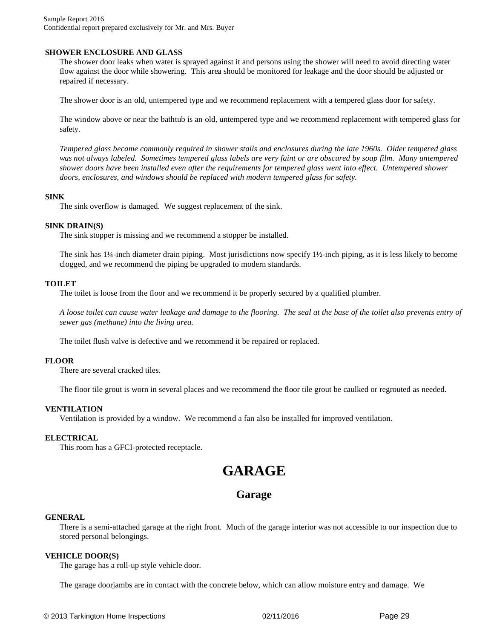Sample Report 2016 Confidential report prepared exclusively for Mr. and Mrs. Buyer

#### **SHOWER ENCLOSURE AND GLASS**

The shower door leaks when water is sprayed against it and persons using the shower will need to avoid directing water flow against the door while showering. This area should be monitored for leakage and the door should be adjusted or repaired if necessary.

The shower door is an old, untempered type and we recommend replacement with a tempered glass door for safety.

The window above or near the bathtub is an old, untempered type and we recommend replacement with tempered glass for safety.

*Tempered glass became commonly required in shower stalls and enclosures during the late 1960s. Older tempered glass was not always labeled. Sometimes tempered glass labels are very faint or are obscured by soap film. Many untempered shower doors have been installed even after the requirements for tempered glass went into effect. Untempered shower doors, enclosures, and windows should be replaced with modern tempered glass for safety.*

#### **SINK**

The sink overflow is damaged. We suggest replacement of the sink.

#### **SINK DRAIN(S)**

The sink stopper is missing and we recommend a stopper be installed.

The sink has 1¼-inch diameter drain piping. Most jurisdictions now specify 1½-inch piping, as it is less likely to become clogged, and we recommend the piping be upgraded to modern standards.

#### **TOILET**

The toilet is loose from the floor and we recommend it be properly secured by a qualified plumber.

*A loose toilet can cause water leakage and damage to the flooring. The seal at the base of the toilet also prevents entry of sewer gas (methane) into the living area.*

The toilet flush valve is defective and we recommend it be repaired or replaced.

#### **FLOOR**

There are several cracked tiles.

The floor tile grout is worn in several places and we recommend the floor tile grout be caulked or regrouted as needed.

#### **VENTILATION**

Ventilation is provided by a window. We recommend a fan also be installed for improved ventilation.

#### **ELECTRICAL**

This room has a GFCI-protected receptacle.

## **GARAGE**

### **Garage**

#### **GENERAL**

There is a semi-attached garage at the right front. Much of the garage interior was not accessible to our inspection due to stored personal belongings.

#### **VEHICLE DOOR(S)**

The garage has a roll-up style vehicle door.

The garage doorjambs are in contact with the concrete below, which can allow moisture entry and damage. We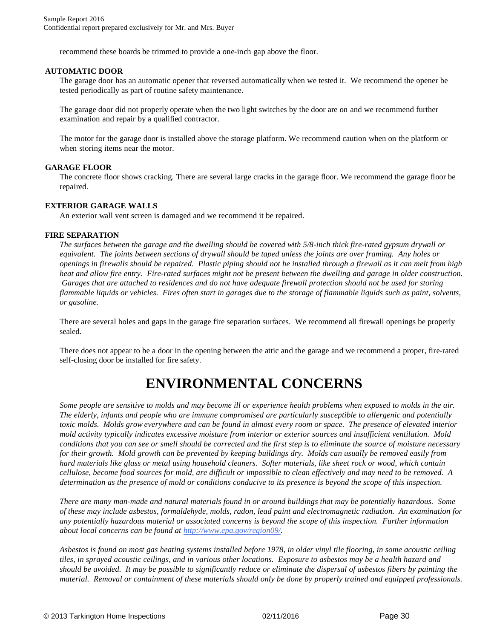recommend these boards be trimmed to provide a one-inch gap above the floor.

#### **AUTOMATIC DOOR**

The garage door has an automatic opener that reversed automatically when we tested it. We recommend the opener be tested periodically as part of routine safety maintenance.

The garage door did not properly operate when the two light switches by the door are on and we recommend further examination and repair by a qualified contractor.

The motor for the garage door is installed above the storage platform. We recommend caution when on the platform or when storing items near the motor.

#### **GARAGE FLOOR**

The concrete floor shows cracking. There are several large cracks in the garage floor. We recommend the garage floor be repaired.

#### **EXTERIOR GARAGE WALLS**

An exterior wall vent screen is damaged and we recommend it be repaired.

#### **FIRE SEPARATION**

*The surfaces between the garage and the dwelling should be covered with 5/8-inch thick fire-rated gypsum drywall or equivalent. The joints between sections of drywall should be taped unless the joints are over framing. Any holes or openings in firewalls should be repaired. Plastic piping should not be installed through a firewall as it can melt from high heat and allow fire entry. Fire-rated surfaces might not be present between the dwelling and garage in older construction. Garages that are attached to residences and do not have adequate firewall protection should not be used for storing flammable liquids or vehicles. Fires often start in garages due to the storage of flammable liquids such as paint, solvents, or gasoline.*

There are several holes and gaps in the garage fire separation surfaces. We recommend all firewall openings be properly sealed.

There does not appear to be a door in the opening between the attic and the garage and we recommend a proper, fire-rated self-closing door be installed for fire safety.

## **ENVIRONMENTAL CONCERNS**

*Some people are sensitive to molds and may become ill or experience health problems when exposed to molds in the air. The elderly, infants and people who are immune compromised are particularly susceptible to allergenic and potentially toxic molds. Molds grow everywhere and can be found in almost every room or space. The presence of elevated interior mold activity typically indicates excessive moisture from interior or exterior sources and insufficient ventilation. Mold conditions that you can see or smell should be corrected and the first step is to eliminate the source of moisture necessary for their growth. Mold growth can be prevented by keeping buildings dry. Molds can usually be removed easily from hard materials like glass or metal using household cleaners. Softer materials, like sheet rock or wood, which contain cellulose, become food sources for mold, are difficult or impossible to clean effectively and may need to be removed. A determination as the presence of mold or conditions conducive to its presence is beyond the scope of this inspection.*

*There are many man-made and natural materials found in or around buildings that may be potentially hazardous. Some of these may include asbestos, formaldehyde, molds, radon, lead paint and electromagnetic radiation. An examination for any potentially hazardous material or associated concerns is beyond the scope of this inspection. Further information about local concerns can be found at <http://www.epa.gov/region09/>.*

*Asbestos is found on most gas heating systems installed before 1978, in older vinyl tile flooring, in some acoustic ceiling tiles, in sprayed acoustic ceilings, and in various other locations. Exposure to asbestos may be a health hazard and should be avoided. It may be possible to significantly reduce or eliminate the dispersal of asbestos fibers by painting the material. Removal or containment of these materials should only be done by properly trained and equipped professionals.*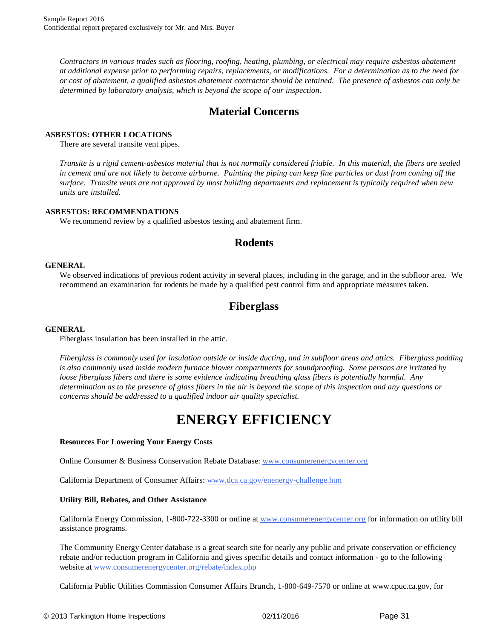*Contractors in various trades such as flooring, roofing, heating, plumbing, or electrical may require asbestos abatement at additional expense prior to performing repairs, replacements, or modifications. For a determination as to the need for or cost of abatement, a qualified asbestos abatement contractor should be retained. The presence of asbestos can only be determined by laboratory analysis, which is beyond the scope of our inspection.*

## **Material Concerns**

#### **ASBESTOS: OTHER LOCATIONS**

There are several transite vent pipes.

*Transite is a rigid cement-asbestos material that is not normally considered friable. In this material, the fibers are sealed in cement and are not likely to become airborne. Painting the piping can keep fine particles or dust from coming off the surface. Transite vents are not approved by most building departments and replacement is typically required when new units are installed.*

#### **ASBESTOS: RECOMMENDATIONS**

We recommend review by a qualified asbestos testing and abatement firm.

## **Rodents**

#### **GENERAL**

We observed indications of previous rodent activity in several places, including in the garage, and in the subfloor area. We recommend an examination for rodents be made by a qualified pest control firm and appropriate measures taken.

## **Fiberglass**

#### **GENERAL**

Fiberglass insulation has been installed in the attic.

*Fiberglass is commonly used for insulation outside or inside ducting, and in subfloor areas and attics. Fiberglass padding is also commonly used inside modern furnace blower compartments for soundproofing. Some persons are irritated by loose fiberglass fibers and there is some evidence indicating breathing glass fibers is potentially harmful. Any determination as to the presence of glass fibers in the air is beyond the scope of this inspection and any questions or concerns should be addressed to a qualified indoor air quality specialist.*

## **ENERGY EFFICIENCY**

#### **Resources For Lowering Your Energy Costs**

Online Consumer & Business Conservation Rebate Database: [ww](http://www.consumerenergycenter.org)[w.consumerenergycenter.org](www.consumerenergycenter.org)

California Department of Consumer Affairs: [w](http://www.dca.ca.gov/enenergy-challenge.htm)[ww.dca.ca.gov/enenergy-challenge.htm](www.dca.ca.gov/enenergy-challenge.htm)

#### **Utility Bill, Rebates, and Other Assistance**

California Energy Commission, 1-800-722-3300 or online at [w](http://www.consumerenergycenter.org)[ww.consumerenergycenter.or](www.consumerenergycenter.org)[g](http://www.consumerenergycenter.org) for information on utility bill assistance programs.

The Community Energy Center database is a great search site for nearly any public and private conservation or efficiency rebate and/or reduction program in California and gives specific details and contact information - go to the following website at [ww](http://www.consumerenergycenter.org/rebate/index.php)[w.consumerenergycenter.org/rebate/index.php](www.consumerenergycenter.org/rebate/index.php)

California Public Utilities Commission Consumer Affairs Branch, 1-800-649-7570 or online at w[ww.cpuc.ca.gov, f](www.cpuc.ca.gov,)or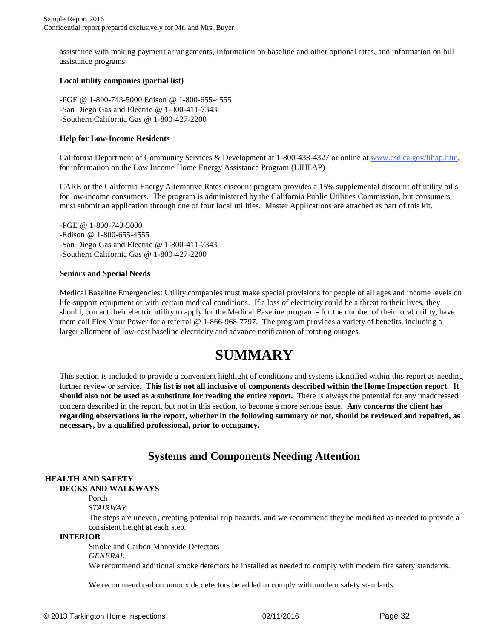assistance with making payment arrangements, information on baseline and other optional rates, and information on bill assistance programs.

#### **Local utility companies (partial list)**

-PGE @ 1-800-743-5000 Edison @ 1-800-655-4555 -San Diego Gas and Electric @ 1-800-411-7343 -Southern California Gas @ 1-800-427-2200

#### **Help for Low-Income Residents**

California Department of Community Services & Development at 1-800-433-4327 or online at [w](http://www.csd.ca.gov/lihap.htm)[ww.csd.ca.gov/lihap.htm,](www.csd.ca.gov/lihap.htm,) for information on the Low Income Home Energy Assistance Program (LIHEAP)

CARE or the California Energy Alternative Rates discount program provides a 15% supplemental discount off utility bills for low-income consumers. The program is administered by the California Public Utilities Commission, but consumers must submit an application through one of four local utilities. Master Applications are attached as part of this kit.

-PGE @ 1-800-743-5000 -Edison @ 1-800-655-4555 -San Diego Gas and Electric @ 1-800-411-7343 -Southern California Gas @ 1-800-427-2200

#### **Seniors and Special Needs**

Medical Baseline Emergencies: Utility companies must make special provisions for people of all ages and income levels on life-support equipment or with certain medical conditions. If a loss of electricity could be a threat to their lives, they should, contact their electric utility to apply for the Medical Baseline program - for the number of their local utility, have them call Flex Your Power for a referral @ 1-866-968-7797. The program provides a variety of benefits, including a larger allotment of low-cost baseline electricity and advance notification of rotating outages.

## **SUMMARY**

This section is included to provide a convenient highlight of conditions and systems identified within this report as needing further review or service. **This list is not all inclusive of components described within the Home Inspection report. It should also not be used as a substitute for reading the entire report.** There is always the potential for any unaddressed concern described in the report, but not in this section, to become a more serious issue. **Any concerns the client has regarding observations in the report, whether in the following summary or not, should be reviewed and repaired, as necessary, by a qualified professional, prior to occupancy.**

## **Systems and Components Needing Attention**

#### **HEALTH AND SAFETY DECKS AND WALKWAYS**

#### Porch

#### *STAIRWAY*

The steps are uneven, creating potential trip hazards, and we recommend they be modified as needed to provide a consistent height at each step.

#### **INTERIOR**

Smoke and Carbon Monoxide Detectors

#### *GENERAL*

We recommend additional smoke detectors be installed as needed to comply with modern fire safety standards.

We recommend carbon monoxide detectors be added to comply with modern safety standards.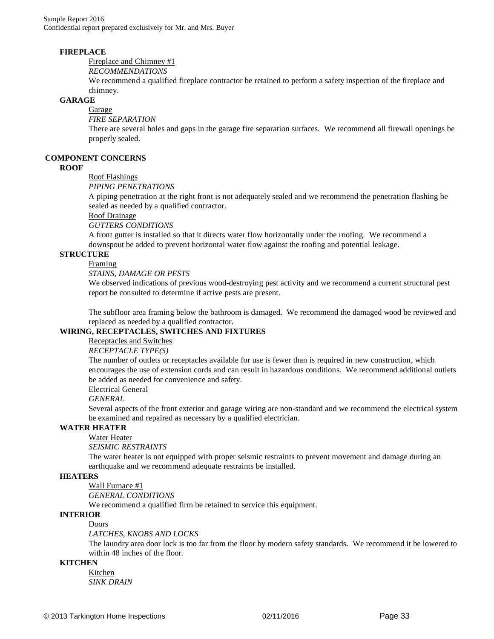#### **FIREPLACE**

Fireplace and Chimney #1

*RECOMMENDATIONS* 

We recommend a qualified fireplace contractor be retained to perform a safety inspection of the fireplace and chimney.

#### **GARAGE**

Garage

*FIRE SEPARATION* 

There are several holes and gaps in the garage fire separation surfaces. We recommend all firewall openings be properly sealed.

#### **COMPONENT CONCERNS**

#### **ROOF**

Roof Flashings

*PIPING PENETRATIONS* 

A piping penetration at the right front is not adequately sealed and we recommend the penetration flashing be sealed as needed by a qualified contractor.

#### Roof Drainage

*GUTTERS CONDITIONS* 

A front gutter is installed so that it directs water flow horizontally under the roofing. We recommend a downspout be added to prevent horizontal water flow against the roofing and potential leakage.

#### **STRUCTURE**

#### Framing

*STAINS, DAMAGE OR PESTS* 

We observed indications of previous wood-destroying pest activity and we recommend a current structural pest report be consulted to determine if active pests are present.

The subfloor area framing below the bathroom is damaged. We recommend the damaged wood be reviewed and replaced as needed by a qualified contractor.

#### **WIRING, RECEPTACLES, SWITCHES AND FIXTURES**

### Receptacles and Switches

#### *RECEPTACLE TYPE(S)*

The number of outlets or receptacles available for use is fewer than is required in new construction, which encourages the use of extension cords and can result in hazardous conditions. We recommend additional outlets be added as needed for convenience and safety.

#### Electrical General

#### *GENERAL*

Several aspects of the front exterior and garage wiring are non-standard and we recommend the electrical system be examined and repaired as necessary by a qualified electrician.

#### **WATER HEATER**

## Water Heater

*SEISMIC RESTRAINTS* 

The water heater is not equipped with proper seismic restraints to prevent movement and damage during an earthquake and we recommend adequate restraints be installed.

#### **HEATERS**

Wall Furnace #1

*GENERAL CONDITIONS* 

We recommend a qualified firm be retained to service this equipment.

#### **INTERIOR**

#### Doors

*LATCHES, KNOBS AND LOCKS* 

The laundry area door lock is too far from the floor by modern safety standards. We recommend it be lowered to within 48 inches of the floor.

#### **KITCHEN**

Kitchen *SINK DRAIN*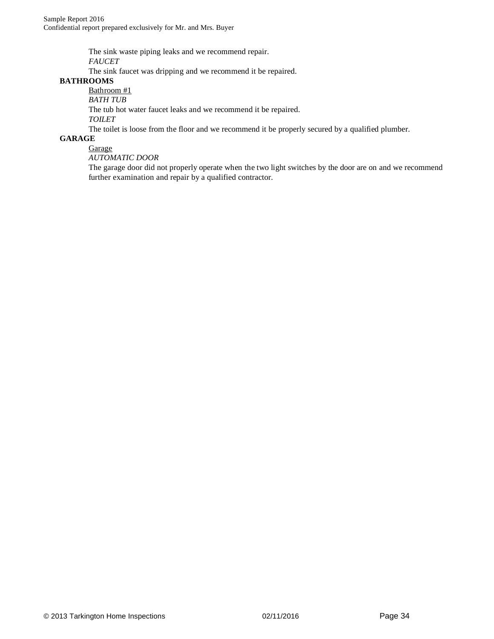The sink waste piping leaks and we recommend repair.

*FAUCET* 

The sink faucet was dripping and we recommend it be repaired.

#### **BATHROOMS**

Bathroom #1

*BATH TUB* 

The tub hot water faucet leaks and we recommend it be repaired.

*TOILET* 

The toilet is loose from the floor and we recommend it be properly secured by a qualified plumber.

#### **GARAGE**

**Garage** *AUTOMATIC DOOR* 

The garage door did not properly operate when the two light switches by the door are on and we recommend further examination and repair by a qualified contractor.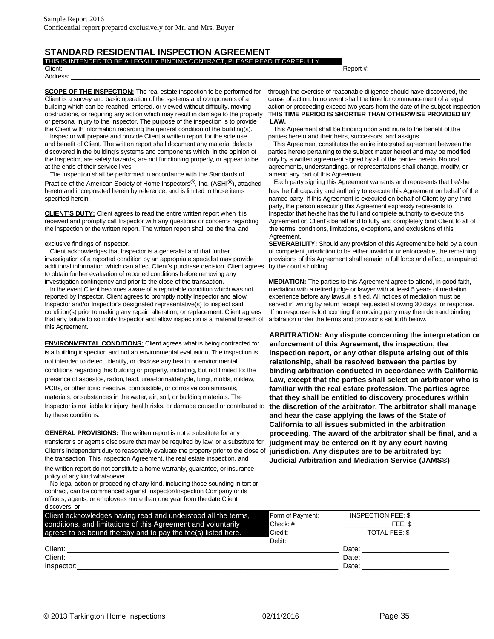#### **STANDARD RESIDENTIAL INSPECTION AGREEMENT**  THIS IS INTENDED TO BE A LEGALLY BINDING CONTRACT, PLEASE READ IT CAREFULLY

### Address: \_\_\_\_\_\_\_\_\_\_\_\_\_\_\_\_\_\_\_\_\_\_\_\_\_\_\_\_\_\_\_\_\_\_\_\_\_\_\_\_\_\_\_\_\_\_\_\_\_\_\_\_\_\_\_\_\_\_\_\_\_\_\_\_\_\_\_\_\_\_\_\_\_\_\_\_\_\_\_\_\_\_\_\_\_\_\_\_\_\_\_\_\_\_\_\_\_\_\_\_\_\_\_\_\_\_\_\_\_\_\_\_\_\_\_\_\_\_

**SCOPE OF THE INSPECTION:** The real estate inspection to be performed for through the exercise of reasonable diligence should have discovered, the Client is a survey and basic operation of the systems and components of a cause of action. In no event shall the time for commencement of a legal building which can be reached, entered, or viewed without difficulty, moving action or proceeding exceed two years from the date of the subject inspection obstructions, or requiring any action which may result in damage to the property **THIS TIME PERIOD IS SHORTER THAN OTHERWISE PROVIDED BY**  or personal injury to the Inspector. The purpose of the inspection is to provide **LAW.** the Client with information regarding the general condition of the building(s). This Agreement shall be binding upon and inure to the benefit of the

Inspector will prepare and provide Client a written report for the sole use parties hereto and their heirs, successors, and assigns. and benefit of Client. The written report shall document any material defects This Agreement constitutes the entire integrated agreement between the discovered in the building's systems and components which, in the opinion of parties hereto pertaining to the subject matter hereof and may be modified the Inspector, are safety hazards, are not functioning properly, or appear to be only by a written agreement signed by all of the parties hereto. No oral at the ends of their service lives. agreements, understandings, or representations shall change, modify, or

The inspection shall be performed in accordance with the Standards of amend any part of this Agreement. Practice of the American Society of Home Inspectors®, Inc. (ASHI®), attached Each party signing this Agreement warrants and represents that he/she hereto and incorporated herein by reference, and is limited to those items has the full capacity and authority to execute this Agreement on behalf of the specified herein. **named party.** If this Agreement is executed on behalf of Client by any third

**CLIENT'S DUTY:** Client agrees to read the entire written report when it is Inspector that he/she has the full and complete authority to execute this received and promptly call Inspector with any questions or concerns regarding Agreement on Client's behalf and to fully and completely bind Client to all of the inspection or the written report. The written report shall be the final and the terms, conditions, limitations, exceptions, and exclusions of this

investigation of a reported condition by an appropriate specialist may provide provisions of this Agreement shall remain in full force and effect, unimpaired additional information which can affect Client's purchase decision. Client agrees by the court's holding. to obtain further evaluation of reported conditions before removing any investigation contingency and prior to the close of the transaction. **MEDIATION:** The parties to this Agreement agree to attend, in good faith,

In the event Client becomes aware of a reportable condition which was not mediation with a retired judge or lawyer with at least 5 years of mediation reported by Inspector, Client agrees to promptly notify Inspector and allow experience before any lawsuit is filed. All notices of mediation must be Inspector and/or Inspector's designated representative(s) to inspect said served in writing by return receipt requested allowing 30 days for response. condition(s) prior to making any repair, alteration, or replacement. Client agrees If no response is forthcoming the moving party may then demand binding that any failure to so notify Inspector and allow inspection is a material breach of arbitration under the terms and provisions set forth below. this Agreement.

**ENVIRONMENTAL CONDITIONS:** Client agrees what is being contracted for **enforcement of this Agreement, the inspection, the**  is a building inspection and not an environmental evaluation. The inspection is **inspection report, or any other dispute arising out of this** not intended to detect, identify, or disclose any health or environmental **relationship, shall be resolved between the parties by**  conditions regarding this building or property, including, but not limited to: the **binding arbitration conducted in accordance with California**  presence of asbestos, radon, lead, urea-formaldehyde, fungi, molds, mildew, **Law, except that the parties shall select an arbitrator who is**  PCBs, or other toxic, reactive, combustible, or corrosive contaminants, **familiar with the real estate profession. The parties agree**  materials, or substances in the water, air, soil, or building materials. The **that they shall be entitled to discovery procedures within**  Inspector is not liable for injury, health risks, or damage caused or contributed to **the discretion of the arbitrator. The arbitrator shall manage**  by these conditions. **and hear the case applying the laws of the State of** 

**GENERAL PROVISIONS:** The written report is not a substitute for any **proceeding. The award of the arbitrator shall be final, and a**  transferor's or agent's disclosure that may be required by law, or a substitute for **judgment may be entered on it by any court having**  Client's independent duty to reasonably evaluate the property prior to the close of the transaction. This inspection Agreement, the real estate inspection, and

the written report do not constitute a home warranty, guarantee, or insurance policy of any kind whatsoever.

No legal action or proceeding of any kind, including those sounding in tort or contract, can be commenced against Inspector/Inspection Company or its officers, agents, or employees more than one year from the date Client discovers, or

Client:\_\_\_\_\_\_\_\_\_\_\_\_\_\_\_\_\_\_\_\_\_\_\_\_\_\_\_\_\_\_\_\_\_\_\_\_\_\_\_\_\_\_\_\_\_\_\_\_\_\_\_\_\_\_\_\_\_\_\_\_\_\_\_\_\_\_\_\_\_\_\_\_\_\_\_\_\_\_\_ Report #:\_\_\_\_\_\_\_\_\_\_\_\_\_\_\_\_\_\_\_\_\_\_\_\_\_\_\_\_\_\_\_\_

party, the person executing this Agreement expressly represents to Agreement.

exclusive findings of Inspector. **SEVERABILITY:** Should any provision of this Agreement be held by a court Client acknowledges that Inspector is a generalist and that further of competent jurisdiction to be either invalid or unenforceable, the remaining

**ARBITRATION: Any dispute concerning the interpretation or California to all issues submitted in the arbitration jurisdiction. Any disputes are to be arbitrated by: Judicial Arbitration and Mediation Service (JAMS®)** 

| Client acknowledges having read and understood all the terms, | Form of Payment: | <b>INSPECTION FEE: \$</b> |  |
|---------------------------------------------------------------|------------------|---------------------------|--|
| conditions, and limitations of this Agreement and voluntarily | Check: #         | FEE: \$                   |  |
| agrees to be bound thereby and to pay the fee(s) listed here. | Credit:          | TOTAL FEE: \$             |  |
|                                                               | Debit:           |                           |  |
| Client:                                                       |                  | Date:                     |  |
| Client:                                                       |                  | Date:                     |  |
| Inspector:                                                    |                  | Date:                     |  |
|                                                               |                  |                           |  |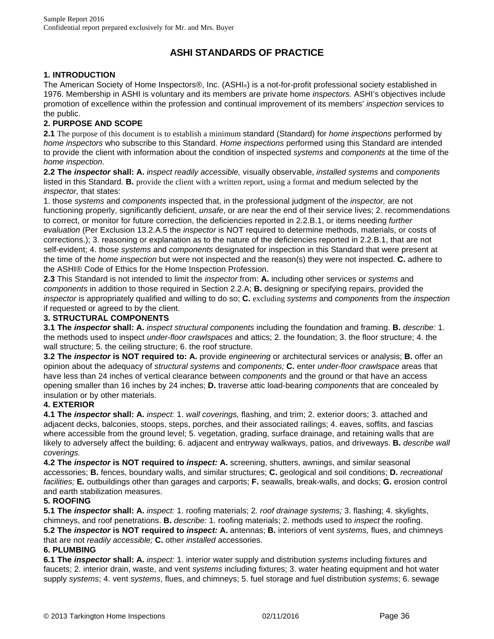## **ASHI STANDARDS OF PRACTICE**

#### **1. INTRODUCTION**

The American Society of Home Inspectors®, Inc. (ASHI®) is a not-for-profit professional society established in 1976. Membership in ASHI is voluntary and its members are private home *inspectors.* ASHI's objectives include promotion of excellence within the profession and continual improvement of its members' *inspection* services to the public.

#### **2. PURPOSE AND SCOPE**

**2.1** The purpose of this document is to establish a minimum standard (Standard) for *home inspections* performed by *home inspectors* who subscribe to this Standard. *Home inspections* performed using this Standard are intended to provide the client with information about the condition of inspected *systems* and *components* at the time of the *home inspection.* 

**2.2 The** *inspector* **shall: A.** *inspect readily accessible,* visually observable, *installed systems* and *components* listed in this Standard. **B.** provide the client with a written report, using a format and medium selected by the *inspector,* that states:

1. those *systems* and *components* inspected that, in the professional judgment of the *inspector,* are not functioning properly, significantly deficient, *unsafe*, or are near the end of their service lives; 2. recommendations to correct, or monitor for future correction, the deficiencies reported in 2.2.B.1, or items needing *further evaluation* (Per Exclusion 13.2.A.5 the *inspector* is NOT required to determine methods, materials, or costs of corrections.); 3. reasoning or explanation as to the nature of the deficiencies reported in 2.2.B.1, that are not self-evident; 4. those *systems* and *components* designated for inspection in this Standard that were present at the time of the *home inspection* but were not inspected and the reason(s) they were not inspected. **C.** adhere to the ASHI® Code of Ethics for the Home Inspection Profession.

**2.3** This Standard is not intended to limit the *inspector* from: **A.** including other services or *systems* and *components* in addition to those required in Section 2.2.A; **B.** designing or specifying repairs, provided the *inspector* is appropriately qualified and willing to do so; **C.** excluding *systems* and *components* from the *inspection* if requested or agreed to by the client.

#### **3. STRUCTURAL COMPONENTS**

**3.1 The** *inspector* **shall: A.** *inspect structural components* including the foundation and framing. **B.** *describe:* 1. the methods used to inspect *under-floor crawlspaces* and attics; 2. the foundation; 3. the floor structure; 4. the wall structure; 5. the ceiling structure; 6. the roof structure.

**3.2 The** *inspector* **is NOT required to: A.** provide *engineering* or architectural services or analysis; **B.** offer an opinion about the adequacy of *structural systems* and *components;* **C.** enter *under-floor crawlspace* areas that have less than 24 inches of vertical clearance between *components* and the ground or that have an access opening smaller than 16 inches by 24 inches; **D.** traverse attic load-bearing *components* that are concealed by insulation or by other materials.

#### **4. EXTERIOR**

**4.1 The** *inspector* **shall: A.** *inspect:* 1. *wall coverings,* flashing, and trim; 2. exterior doors; 3. attached and adjacent decks, balconies, stoops, steps, porches, and their associated railings; 4. eaves, soffits, and fascias where accessible from the ground level; 5. vegetation, grading, surface drainage, and retaining walls that are likely to adversely affect the building; 6. adjacent and entryway walkways, patios, and driveways. **B.** *describe wall coverings.* 

**4.2 The** *inspector* **is NOT required to** *inspect:* **A.** screening, shutters, awnings, and similar seasonal accessories; **B.** fences, boundary walls, and similar structures; **C.** geological and soil conditions; **D.** *recreational facilities;* **E.** outbuildings other than garages and carports; **F.** seawalls, break-walls, and docks; **G.** erosion control and earth stabilization measures.

#### **5. ROOFING**

**5.1 The** *inspector* **shall: A.** *inspect:* 1. roofing materials; 2*. roof drainage systems;* 3. flashing; 4. skylights, chimneys, and roof penetrations. **B.** *describe:* 1. roofing materials; 2. methods used to *inspect* the roofing. **5.2 The** *inspector* **is NOT required to** *inspect:* **A.** antennas; **B.** interiors of vent *systems,* flues, and chimneys that are not *readily accessible;* **C.** other *installed* accessories.

#### **6. PLUMBING**

**6.1 The** *inspector* **shall: A.** *inspect:* 1. interior water supply and distribution *systems* including fixtures and faucets; 2. interior drain, waste, and vent *systems* including fixtures; 3. water heating equipment and hot water supply *systems*; 4. vent *systems*, flues, and chimneys; 5. fuel storage and fuel distribution *systems*; 6. sewage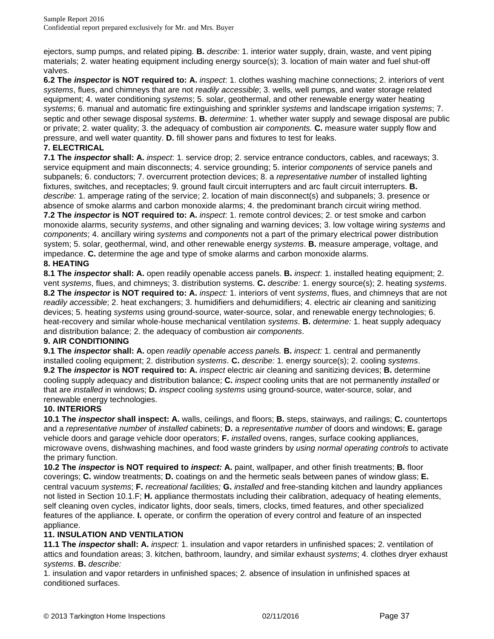ejectors, sump pumps, and related piping. **B.** *describe:* 1. interior water supply, drain, waste, and vent piping materials; 2. water heating equipment including energy source(s); 3. location of main water and fuel shut-off valves.

**6.2 The** *inspector* **is NOT required to: A.** *inspect*: 1. clothes washing machine connections; 2. interiors of vent *systems*, flues, and chimneys that are not *readily accessible*; 3. wells, well pumps, and water storage related equipment; 4. water conditioning *systems*; 5. solar, geothermal, and other renewable energy water heating *systems*; 6. manual and automatic fire extinguishing and sprinkler *systems* and landscape irrigation *systems*; 7. septic and other sewage disposal *systems*. **B.** *determine:* 1. whether water supply and sewage disposal are public or private; 2. water quality; 3. the adequacy of combustion air *components.* **C.** measure water supply flow and pressure, and well water quantity. **D.** fill shower pans and fixtures to test for leaks.

#### **7. ELECTRICAL**

**7.1 The** *inspector* **shall: A.** *inspect*: 1. service drop; 2. service entrance conductors, cables, and raceways; 3. service equipment and main disconnects; 4. service grounding; 5. interior *components* of service panels and subpanels; 6. conductors; 7. overcurrent protection devices; 8. a *representative number* of installed lighting fixtures, switches, and receptacles; 9. ground fault circuit interrupters and arc fault circuit interrupters. **B.** *describe:* 1. amperage rating of the service; 2. location of main disconnect(s) and subpanels; 3. presence or absence of smoke alarms and carbon monoxide alarms; 4. the predominant branch circuit wiring method.

**7.2 The** *inspector* **is NOT required to: A.** *inspect*: 1. remote control devices; 2. or test smoke and carbon monoxide alarms, security *systems*, and other signaling and warning devices; 3. low voltage wiring *systems* and *components*; 4. ancillary wiring *systems* and *components* not a part of the primary electrical power distribution system; 5. solar, geothermal, wind, and other renewable energy *systems*. **B.** measure amperage, voltage, and impedance. **C.** determine the age and type of smoke alarms and carbon monoxide alarms.

#### **8. HEATING**

**8.1 The** *inspector* **shall: A.** open readily openable access panels. **B.** *inspect*: 1. installed heating equipment; 2. vent *systems*, flues, and chimneys; 3. distribution systems. **C.** *describe:* 1. energy source(s); 2. heating *systems*. **8.2 The** *inspector* **is NOT required to: A.** *inspect:* 1. interiors of vent *systems*, flues, and chimneys that are not *readily accessible*; 2. heat exchangers; 3. humidifiers and dehumidifiers; 4. electric air cleaning and sanitizing devices; 5. heating *systems* using ground-source, water-source, solar, and renewable energy technologies; 6. heat-recovery and similar whole-house mechanical ventilation *systems*. **B.** *determine:* 1. heat supply adequacy and distribution balance; 2. the adequacy of combustion air *components*.

#### **9. AIR CONDITIONING**

**9.1 The** *inspector* **shall: A.** open *readily openable access panels.* **B.** *inspect:* 1. central and permanently installed cooling equipment; 2. distribution *systems*. **C.** *describe:* 1. energy source(s); 2. cooling *systems*. **9.2 The** *inspector* **is NOT required to: A.** *inspect* electric air cleaning and sanitizing devices; **B.** determine cooling supply adequacy and distribution balance; **C.** *inspect* cooling units that are not permanently *installed* or that are *installed* in windows; **D.** *inspect* cooling *systems* using ground-source, water-source, solar, and renewable energy technologies.

#### **10. INTERIORS**

**10.1 The** *inspector* **shall inspect: A.** walls, ceilings, and floors; **B.** steps, stairways, and railings; **C.** countertops and a *representative number* of *installed* cabinets; **D.** a *representative number* of doors and windows; **E.** garage vehicle doors and garage vehicle door operators; **F.** *installed* ovens, ranges, surface cooking appliances, microwave ovens, dishwashing machines, and food waste grinders by *using normal operating controls* to activate the primary function.

**10.2 The** *inspector* **is NOT required to** *inspect:* **A.** paint, wallpaper, and other finish treatments; **B.** floor coverings; **C.** window treatments; **D.** coatings on and the hermetic seals between panes of window glass; **E.** central vacuum *systems*; **F.** *recreational facilities;* **G.** *installed* and free-standing kitchen and laundry appliances not listed in Section 10.1.F; **H.** appliance thermostats including their calibration, adequacy of heating elements, self cleaning oven cycles, indicator lights, door seals, timers, clocks, timed features, and other specialized features of the appliance. **I.** operate, or confirm the operation of every control and feature of an inspected appliance.

#### **11. INSULATION AND VENTILATION**

**11.1 The** *inspector* **shall: A.** *inspect:* 1. insulation and vapor retarders in unfinished spaces; 2. ventilation of attics and foundation areas; 3. kitchen, bathroom, laundry, and similar exhaust *systems*; 4. clothes dryer exhaust *systems*. **B.** *describe:* 

1. insulation and vapor retarders in unfinished spaces; 2. absence of insulation in unfinished spaces at conditioned surfaces.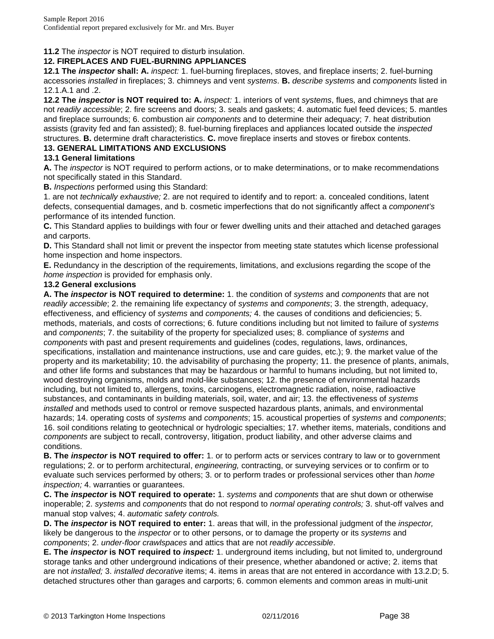### **11.2** The *inspector* is NOT required to disturb insulation.

#### **12. FIREPLACES AND FUEL-BURNING APPLIANCES**

**12.1 The** *inspector* **shall: A.** *inspect:* 1. fuel-burning fireplaces, stoves, and fireplace inserts; 2. fuel-burning accessories *installed* in fireplaces; 3. chimneys and vent *systems*. **B.** *describe systems* and *components* listed in 12.1.A.1 and .2.

**12.2 The** *inspector* **is NOT required to: A.** *inspect:* 1. interiors of vent *systems*, flues, and chimneys that are not *readily accessible*; 2. fire screens and doors; 3. seals and gaskets; 4. automatic fuel feed devices; 5. mantles and fireplace surrounds; 6. combustion air *components* and to determine their adequacy; 7. heat distribution assists (gravity fed and fan assisted); 8. fuel-burning fireplaces and appliances located outside the *inspected* structures. **B.** determine draft characteristics. **C.** move fireplace inserts and stoves or firebox contents.

#### **13. GENERAL LIMITATIONS AND EXCLUSIONS**

#### **13.1 General limitations**

**A.** The *inspector* is NOT required to perform actions, or to make determinations, or to make recommendations not specifically stated in this Standard.

**B.** *Inspections* performed using this Standard:

1. are not *technically exhaustive;* 2. are not required to identify and to report: a. concealed conditions, latent defects, consequential damages, and b. cosmetic imperfections that do not significantly affect a *component's* performance of its intended function.

**C.** This Standard applies to buildings with four or fewer dwelling units and their attached and detached garages and carports.

**D.** This Standard shall not limit or prevent the inspector from meeting state statutes which license professional home inspection and home inspectors.

**E.** Redundancy in the description of the requirements, limitations, and exclusions regarding the scope of the *home inspection* is provided for emphasis only.

#### **13.2 General exclusions**

**A. The** *inspector* **is NOT required to determine:** 1. the condition of *systems* and *components* that are not *readily accessible*; 2. the remaining life expectancy of *systems* and *components*; 3. the strength, adequacy, effectiveness, and efficiency of *systems* and *components;* 4. the causes of conditions and deficiencies; 5. methods, materials, and costs of corrections; 6. future conditions including but not limited to failure of *systems* and *components*; 7. the suitability of the property for specialized uses; 8. compliance of *systems* and *components* with past and present requirements and guidelines (codes, regulations, laws, ordinances, specifications, installation and maintenance instructions, use and care guides, etc.); 9. the market value of the property and its marketability; 10. the advisability of purchasing the property; 11. the presence of plants, animals, and other life forms and substances that may be hazardous or harmful to humans including, but not limited to, wood destroying organisms, molds and mold-like substances; 12. the presence of environmental hazards including, but not limited to, allergens, toxins, carcinogens, electromagnetic radiation, noise, radioactive substances, and contaminants in building materials, soil, water, and air; 13. the effectiveness of *systems installed* and methods used to control or remove suspected hazardous plants, animals, and environmental hazards; 14. operating costs of *systems* and *components*; 15. acoustical properties of *systems* and *components*; 16. soil conditions relating to geotechnical or hydrologic specialties; 17. whether items, materials, conditions and *components* are subject to recall, controversy, litigation, product liability, and other adverse claims and conditions.

**B. The** *inspector* **is NOT required to offer:** 1. or to perform acts or services contrary to law or to government regulations; 2. or to perform architectural, *engineering,* contracting, or surveying services or to confirm or to evaluate such services performed by others; 3. or to perform trades or professional services other than *home inspection;* 4. warranties or guarantees.

**C. The** *inspector* **is NOT required to operate:** 1. *systems* and *components* that are shut down or otherwise inoperable; 2. *systems* and *components* that do not respond to *normal operating controls;* 3. shut-off valves and manual stop valves; 4. *automatic safety controls.* 

**D. The** *inspector* **is NOT required to enter:** 1. areas that will, in the professional judgment of the *inspector,* likely be dangerous to the *inspector* or to other persons, or to damage the property or its *systems* and *components*; 2. *under-floor crawlspaces* and attics that are not *readily accessible*.

**E. The** *inspector* **is NOT required to** *inspect:* 1. underground items including, but not limited to, underground storage tanks and other underground indications of their presence, whether abandoned or active; 2. items that are not *installed;* 3. *installed decorative* items; 4. items in areas that are not entered in accordance with 13.2.D; 5. detached structures other than garages and carports; 6. common elements and common areas in multi-unit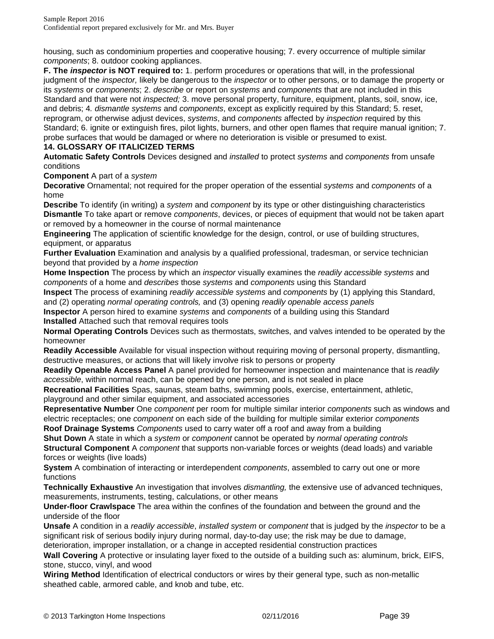housing, such as condominium properties and cooperative housing; 7. every occurrence of multiple similar *components*; 8. outdoor cooking appliances.

**F. The** *inspector* **is NOT required to:** 1. perform procedures or operations that will, in the professional judgment of the *inspector,* likely be dangerous to the *inspector* or to other persons, or to damage the property or its *systems* or *components*; 2. *describe* or report on *systems* and *components* that are not included in this Standard and that were not *inspected;* 3. move personal property, furniture, equipment, plants, soil, snow, ice, and debris; 4*. dismantle systems* and *components*, except as explicitly required by this Standard; 5. reset, reprogram, or otherwise adjust devices, *systems*, and *components* affected by *inspection* required by this Standard; 6. ignite or extinguish fires, pilot lights, burners, and other open flames that require manual ignition; 7. probe surfaces that would be damaged or where no deterioration is visible or presumed to exist. **14. GLOSSARY OF ITALICIZED TERMS** 

**Automatic Safety Controls** Devices designed and *installed* to protect *systems* and *components* from unsafe conditions

**Component** A part of a *system* 

**Decorative** Ornamental; not required for the proper operation of the essential *systems* and *components* of a home

**Describe** To identify (in writing) a *system* and *component* by its type or other distinguishing characteristics **Dismantle** To take apart or remove *components*, devices, or pieces of equipment that would not be taken apart or removed by a homeowner in the course of normal maintenance

**Engineering** The application of scientific knowledge for the design, control, or use of building structures, equipment, or apparatus

**Further Evaluation** Examination and analysis by a qualified professional, tradesman, or service technician beyond that provided by a *home inspection* 

**Home Inspection** The process by which an *inspector* visually examines the *readily accessible systems* and *components* of a home and *describes* those *systems* and *components* using this Standard

**Inspect** The process of examining *readily accessible systems* and *components* by (1) applying this Standard, and (2) operating *normal operating controls,* and (3) opening *readily openable access panels* 

**Inspector** A person hired to examine *systems* and *components* of a building using this Standard **Installed** Attached such that removal requires tools

**Normal Operating Controls** Devices such as thermostats, switches, and valves intended to be operated by the homeowner

**Readily Accessible** Available for visual inspection without requiring moving of personal property, dismantling, destructive measures, or actions that will likely involve risk to persons or property

**Readily Openable Access Panel** A panel provided for homeowner inspection and maintenance that is *readily accessible*, within normal reach, can be opened by one person, and is not sealed in place

**Recreational Facilities** Spas, saunas, steam baths, swimming pools, exercise, entertainment, athletic, playground and other similar equipment, and associated accessories

**Representative Number** One *component* per room for multiple similar interior *components* such as windows and electric receptacles; one *component* on each side of the building for multiple similar exterior *components* 

**Roof Drainage Systems** *Components* used to carry water off a roof and away from a building **Shut Down** A state in which a *system* or *component* cannot be operated by *normal operating controls* 

**Structural Component** A *component* that supports non-variable forces or weights (dead loads) and variable forces or weights (live loads)

**System** A combination of interacting or interdependent *components*, assembled to carry out one or more functions

**Technically Exhaustive** An investigation that involves *dismantling,* the extensive use of advanced techniques, measurements, instruments, testing, calculations, or other means

**Under-floor Crawlspace** The area within the confines of the foundation and between the ground and the underside of the floor

**Unsafe** A condition in a *readily accessible*, *installed system* or *component* that is judged by the *inspector* to be a significant risk of serious bodily injury during normal, day-to-day use; the risk may be due to damage,

deterioration, improper installation, or a change in accepted residential construction practices

**Wall Covering** A protective or insulating layer fixed to the outside of a building such as: aluminum, brick, EIFS, stone, stucco, vinyl, and wood

**Wiring Method** Identification of electrical conductors or wires by their general type, such as non-metallic sheathed cable, armored cable, and knob and tube, etc.